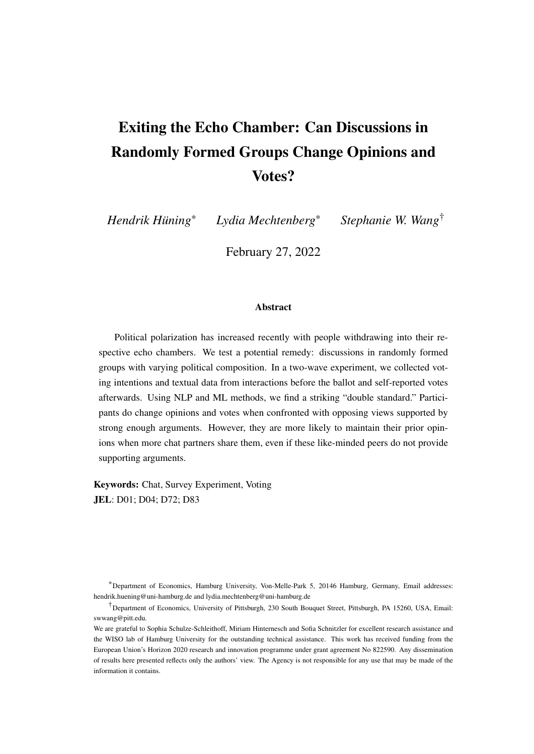# <span id="page-0-0"></span>Exiting the Echo Chamber: Can Discussions in Randomly Formed Groups Change Opinions and Votes?

*Hendrik Huning ¨*

\* *Lydia Mechtenberg*\* *Stephanie W. Wang*†

February 27, 2022

#### Abstract

Political polarization has increased recently with people withdrawing into their respective echo chambers. We test a potential remedy: discussions in randomly formed groups with varying political composition. In a two-wave experiment, we collected voting intentions and textual data from interactions before the ballot and self-reported votes afterwards. Using NLP and ML methods, we find a striking "double standard." Participants do change opinions and votes when confronted with opposing views supported by strong enough arguments. However, they are more likely to maintain their prior opinions when more chat partners share them, even if these like-minded peers do not provide supporting arguments.

Keywords: Chat, Survey Experiment, Voting JEL: D01; D04; D72; D83

\*Department of Economics, Hamburg University, Von-Melle-Park 5, 20146 Hamburg, Germany, Email addresses: hendrik.huening@uni-hamburg.de and lydia.mechtenberg@uni-hamburg.de

†Department of Economics, University of Pittsburgh, 230 South Bouquet Street, Pittsburgh, PA 15260, USA, Email: swwang@pitt.edu.

We are grateful to Sophia Schulze-Schleithoff, Miriam Hinternesch and Sofia Schnitzler for excellent research assistance and the WISO lab of Hamburg University for the outstanding technical assistance. This work has received funding from the European Union's Horizon 2020 research and innovation programme under grant agreement No 822590. Any dissemination of results here presented reflects only the authors' view. The Agency is not responsible for any use that may be made of the information it contains.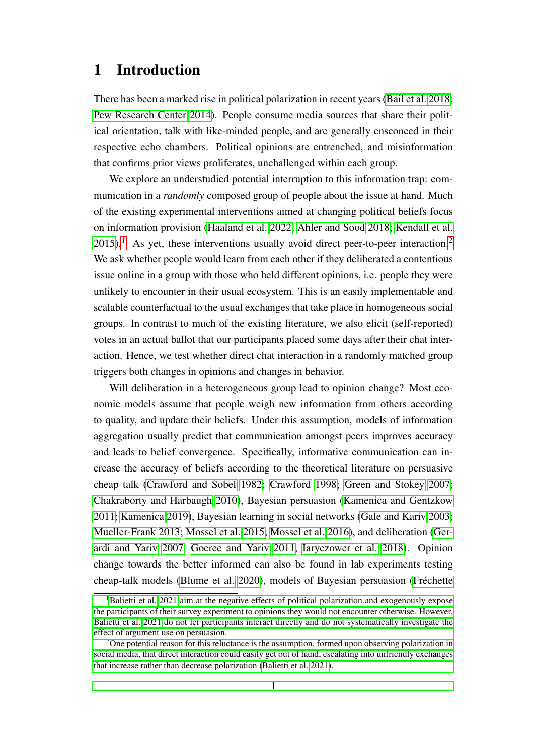# 1 Introduction

There has been a marked rise in political polarization in recent years [\(Bail et al. 2018;](#page-23-0) [Pew Research Center 2014\)](#page-26-0). People consume media sources that share their political orientation, talk with like-minded people, and are generally ensconced in their respective echo chambers. Political opinions are entrenched, and misinformation that confirms prior views proliferates, unchallenged within each group.

We explore an understudied potential interruption to this information trap: communication in a *randomly* composed group of people about the issue at hand. Much of the existing experimental interventions aimed at changing political beliefs focus on information provision [\(Haaland et al. 2022;](#page-24-0) [Ahler and Sood 2018;](#page-23-1) [Kendall et al.](#page-25-0)  $2015$  $2015$  $2015$ .<sup>1</sup> As yet, these interventions usually avoid direct peer-to-peer interaction.<sup>[2](#page-0-0)</sup> We ask whether people would learn from each other if they deliberated a contentious issue online in a group with those who held different opinions, i.e. people they were unlikely to encounter in their usual ecosystem. This is an easily implementable and scalable counterfactual to the usual exchanges that take place in homogeneous social groups. In contrast to much of the existing literature, we also elicit (self-reported) votes in an actual ballot that our participants placed some days after their chat interaction. Hence, we test whether direct chat interaction in a randomly matched group triggers both changes in opinions and changes in behavior.

Will deliberation in a heterogeneous group lead to opinion change? Most economic models assume that people weigh new information from others according to quality, and update their beliefs. Under this assumption, models of information aggregation usually predict that communication amongst peers improves accuracy and leads to belief convergence. Specifically, informative communication can increase the accuracy of beliefs according to the theoretical literature on persuasive cheap talk [\(Crawford and Sobel 1982;](#page-23-2) [Crawford 1998;](#page-23-3) [Green and Stokey 2007;](#page-24-1) [Chakraborty and Harbaugh 2010\)](#page-23-4), Bayesian persuasion [\(Kamenica and Gentzkow](#page-25-1) [2011;](#page-25-1) [Kamenica 2019\)](#page-25-2), Bayesian learning in social networks [\(Gale and Kariv 2003;](#page-24-2) [Mueller-Frank 2013;](#page-25-3) [Mossel et al. 2015;](#page-25-4) [Mossel et al. 2016\)](#page-25-5), and deliberation [\(Ger](#page-24-3)[ardi and Yariv 2007,](#page-24-3) [Goeree and Yariv 2011,](#page-24-4) [Iaryczower et al. 2018\)](#page-25-6). Opinion change towards the better informed can also be found in lab experiments testing cheap-talk models [\(Blume et al. 2020\)](#page-23-5), models of Bayesian persuasion (Fréchette

<sup>&</sup>lt;sup>1</sup>[Balietti et al. 2021 aim at the negative effects of political polarization and exogenously expose](#page-24-5) [the participants of their survey experiment to opinions they would not encounter otherwise. However,](#page-24-5) [Balietti et al. 2021 do not let participants interact directly and do not systematically investigate the](#page-24-5) [effect of argument use on persuasion.](#page-24-5)

<sup>&</sup>lt;sup>2</sup>[One potential reason for this reluctance is the assumption, formed upon observing polarization in](#page-24-5) [social media, that direct interaction could easily get out of hand, escalating into unfriendly exchanges](#page-24-5) [that increase rather than decrease polarization \(Balietti et al. 2021\).](#page-24-5)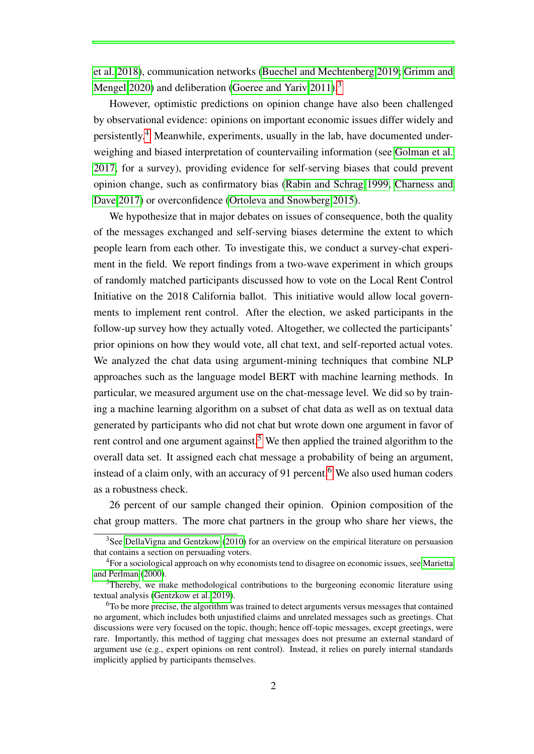[et al. 2018\)](#page-24-5), communication networks [\(Buechel and Mechtenberg 2019;](#page-23-7) [Grimm and](#page-24-6) [Mengel 2020\)](#page-24-6) and deliberation [\(Goeree and Yariv 2011\)](#page-24-4).<sup>[3](#page-0-0)</sup>

However, optimistic predictions on opinion change have also been challenged by observational evidence: opinions on important economic issues differ widely and persistently.[4](#page-0-0) Meanwhile, experiments, usually in the lab, have documented underweighing and biased interpretation of countervailing information (see [Golman et al.](#page-24-7) [2017,](#page-24-7) for a survey), providing evidence for self-serving biases that could prevent opinion change, such as confirmatory bias [\(Rabin and Schrag 1999,](#page-26-1) [Charness and](#page-23-8) [Dave 2017\)](#page-23-8) or overconfidence [\(Ortoleva and Snowberg 2015\)](#page-25-7).

We hypothesize that in major debates on issues of consequence, both the quality of the messages exchanged and self-serving biases determine the extent to which people learn from each other. To investigate this, we conduct a survey-chat experiment in the field. We report findings from a two-wave experiment in which groups of randomly matched participants discussed how to vote on the Local Rent Control Initiative on the 2018 California ballot. This initiative would allow local governments to implement rent control. After the election, we asked participants in the follow-up survey how they actually voted. Altogether, we collected the participants' prior opinions on how they would vote, all chat text, and self-reported actual votes. We analyzed the chat data using argument-mining techniques that combine NLP approaches such as the language model BERT with machine learning methods. In particular, we measured argument use on the chat-message level. We did so by training a machine learning algorithm on a subset of chat data as well as on textual data generated by participants who did not chat but wrote down one argument in favor of rent control and one argument against.<sup>[5](#page-0-0)</sup> We then applied the trained algorithm to the overall data set. It assigned each chat message a probability of being an argument, instead of a claim only, with an accuracy of 91 percent.<sup>[6](#page-0-0)</sup> We also used human coders as a robustness check.

26 percent of our sample changed their opinion. Opinion composition of the chat group matters. The more chat partners in the group who share her views, the

 $3$ See [DellaVigna and Gentzkow](#page-23-9) [\(2010\)](#page-23-9) for an overview on the empirical literature on persuasion that contains a section on persuading voters.

<sup>&</sup>lt;sup>4</sup>For a sociological approach on why economists tend to disagree on economic issues, see [Marietta](#page-25-8) [and Perlman](#page-25-8) [\(2000\)](#page-25-8).

<sup>&</sup>lt;sup>5</sup>Thereby, we make methodological contributions to the burgeoning economic literature using textual analysis [\(Gentzkow et al. 2019\)](#page-24-8).

<sup>6</sup>To be more precise, the algorithm was trained to detect arguments versus messages that contained no argument, which includes both unjustified claims and unrelated messages such as greetings. Chat discussions were very focused on the topic, though; hence off-topic messages, except greetings, were rare. Importantly, this method of tagging chat messages does not presume an external standard of argument use (e.g., expert opinions on rent control). Instead, it relies on purely internal standards implicitly applied by participants themselves.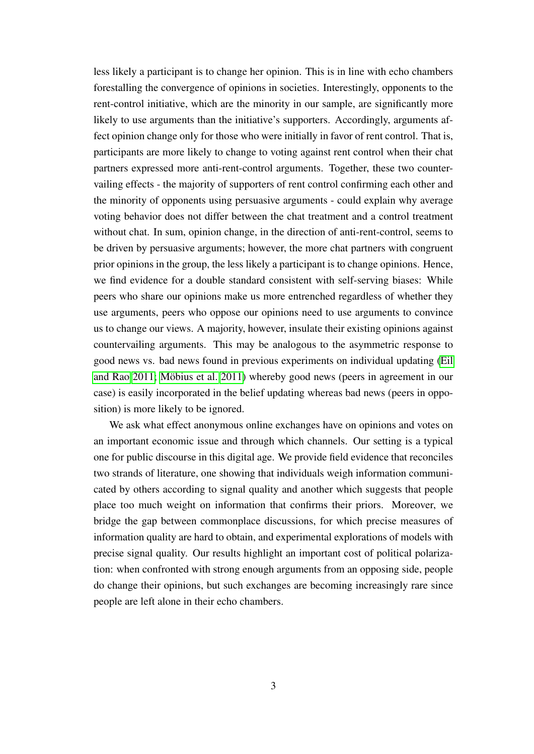less likely a participant is to change her opinion. This is in line with echo chambers forestalling the convergence of opinions in societies. Interestingly, opponents to the rent-control initiative, which are the minority in our sample, are significantly more likely to use arguments than the initiative's supporters. Accordingly, arguments affect opinion change only for those who were initially in favor of rent control. That is, participants are more likely to change to voting against rent control when their chat partners expressed more anti-rent-control arguments. Together, these two countervailing effects - the majority of supporters of rent control confirming each other and the minority of opponents using persuasive arguments - could explain why average voting behavior does not differ between the chat treatment and a control treatment without chat. In sum, opinion change, in the direction of anti-rent-control, seems to be driven by persuasive arguments; however, the more chat partners with congruent prior opinions in the group, the less likely a participant is to change opinions. Hence, we find evidence for a double standard consistent with self-serving biases: While peers who share our opinions make us more entrenched regardless of whether they use arguments, peers who oppose our opinions need to use arguments to convince us to change our views. A majority, however, insulate their existing opinions against countervailing arguments. This may be analogous to the asymmetric response to good news vs. bad news found in previous experiments on individual updating [\(Eil](#page-24-9) [and Rao 2011;](#page-24-9) Möbius et al. 2011) whereby good news (peers in agreement in our case) is easily incorporated in the belief updating whereas bad news (peers in opposition) is more likely to be ignored.

We ask what effect anonymous online exchanges have on opinions and votes on an important economic issue and through which channels. Our setting is a typical one for public discourse in this digital age. We provide field evidence that reconciles two strands of literature, one showing that individuals weigh information communicated by others according to signal quality and another which suggests that people place too much weight on information that confirms their priors. Moreover, we bridge the gap between commonplace discussions, for which precise measures of information quality are hard to obtain, and experimental explorations of models with precise signal quality. Our results highlight an important cost of political polarization: when confronted with strong enough arguments from an opposing side, people do change their opinions, but such exchanges are becoming increasingly rare since people are left alone in their echo chambers.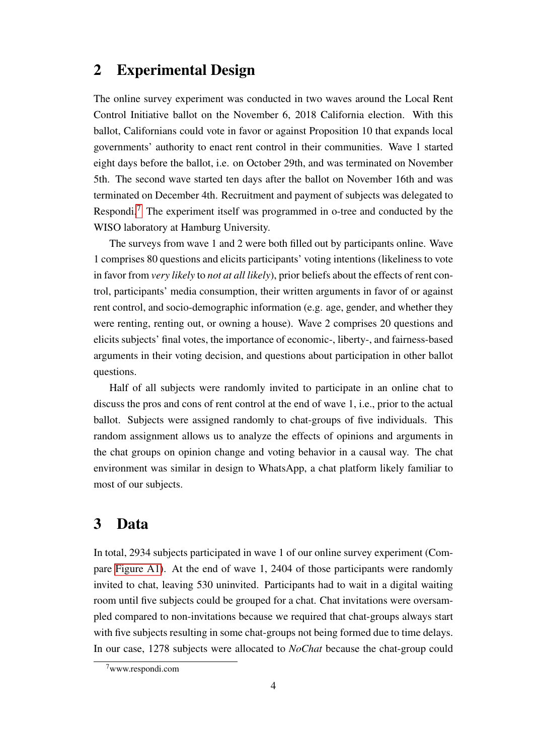# 2 Experimental Design

The online survey experiment was conducted in two waves around the Local Rent Control Initiative ballot on the November 6, 2018 California election. With this ballot, Californians could vote in favor or against Proposition 10 that expands local governments' authority to enact rent control in their communities. Wave 1 started eight days before the ballot, i.e. on October 29th, and was terminated on November 5th. The second wave started ten days after the ballot on November 16th and was terminated on December 4th. Recruitment and payment of subjects was delegated to Respondi.[7](#page-0-0) The experiment itself was programmed in o-tree and conducted by the WISO laboratory at Hamburg University.

The surveys from wave 1 and 2 were both filled out by participants online. Wave 1 comprises 80 questions and elicits participants' voting intentions (likeliness to vote in favor from *very likely* to *not at all likely*), prior beliefs about the effects of rent control, participants' media consumption, their written arguments in favor of or against rent control, and socio-demographic information (e.g. age, gender, and whether they were renting, renting out, or owning a house). Wave 2 comprises 20 questions and elicits subjects' final votes, the importance of economic-, liberty-, and fairness-based arguments in their voting decision, and questions about participation in other ballot questions.

Half of all subjects were randomly invited to participate in an online chat to discuss the pros and cons of rent control at the end of wave 1, i.e., prior to the actual ballot. Subjects were assigned randomly to chat-groups of five individuals. This random assignment allows us to analyze the effects of opinions and arguments in the chat groups on opinion change and voting behavior in a causal way. The chat environment was similar in design to WhatsApp, a chat platform likely familiar to most of our subjects.

# 3 Data

In total, 2934 subjects participated in wave 1 of our online survey experiment (Compare [Figure A1\)](#page-28-0). At the end of wave 1, 2404 of those participants were randomly invited to chat, leaving 530 uninvited. Participants had to wait in a digital waiting room until five subjects could be grouped for a chat. Chat invitations were oversampled compared to non-invitations because we required that chat-groups always start with five subjects resulting in some chat-groups not being formed due to time delays. In our case, 1278 subjects were allocated to *NoChat* because the chat-group could

 $7$ www.respondi.com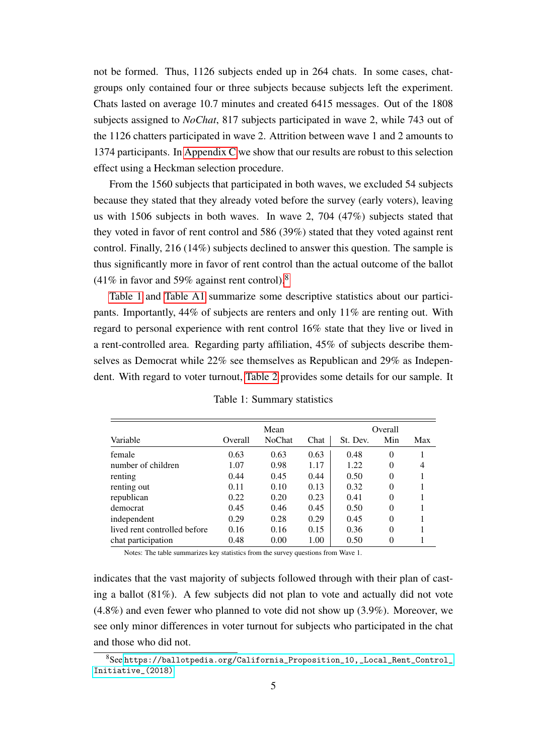not be formed. Thus, 1126 subjects ended up in 264 chats. In some cases, chatgroups only contained four or three subjects because subjects left the experiment. Chats lasted on average 10.7 minutes and created 6415 messages. Out of the 1808 subjects assigned to *NoChat*, 817 subjects participated in wave 2, while 743 out of the 1126 chatters participated in wave 2. Attrition between wave 1 and 2 amounts to 1374 participants. In [Appendix C](#page-50-0) we show that our results are robust to this selection effect using a Heckman selection procedure.

From the 1560 subjects that participated in both waves, we excluded 54 subjects because they stated that they already voted before the survey (early voters), leaving us with 1506 subjects in both waves. In wave 2, 704 (47%) subjects stated that they voted in favor of rent control and 586 (39%) stated that they voted against rent control. Finally, 216 (14%) subjects declined to answer this question. The sample is thus significantly more in favor of rent control than the actual outcome of the ballot (41% in favor and 59% against rent control).<sup>[8](#page-0-0)</sup>

[Table 1](#page-5-0) and [Table A1](#page-27-0) summarize some descriptive statistics about our participants. Importantly, 44% of subjects are renters and only 11% are renting out. With regard to personal experience with rent control 16% state that they live or lived in a rent-controlled area. Regarding party affiliation, 45% of subjects describe themselves as Democrat while 22% see themselves as Republican and 29% as Independent. With regard to voter turnout, [Table 2](#page-6-0) provides some details for our sample. It

<span id="page-5-0"></span>

|                              | Mean    |               |      | Overall  |          |     |  |  |
|------------------------------|---------|---------------|------|----------|----------|-----|--|--|
| Variable                     | Overall | <b>NoChat</b> | Chat | St. Dev. | Min      | Max |  |  |
| female                       | 0.63    | 0.63          | 0.63 | 0.48     | $\theta$ |     |  |  |
| number of children           | 1.07    | 0.98          | 1.17 | 1.22     | $\theta$ | 4   |  |  |
| renting                      | 0.44    | 0.45          | 0.44 | 0.50     | $\theta$ |     |  |  |
| renting out                  | 0.11    | 0.10          | 0.13 | 0.32     | $\theta$ |     |  |  |
| republican                   | 0.22    | 0.20          | 0.23 | 0.41     | $\theta$ |     |  |  |
| democrat                     | 0.45    | 0.46          | 0.45 | 0.50     | $\theta$ |     |  |  |
| independent                  | 0.29    | 0.28          | 0.29 | 0.45     | $\theta$ |     |  |  |
| lived rent controlled before | 0.16    | 0.16          | 0.15 | 0.36     | $\theta$ |     |  |  |
| chat participation           | 0.48    | 0.00          | 1.00 | 0.50     | $\Omega$ |     |  |  |

Table 1: Summary statistics

Notes: The table summarizes key statistics from the survey questions from Wave 1.

indicates that the vast majority of subjects followed through with their plan of casting a ballot (81%). A few subjects did not plan to vote and actually did not vote (4.8%) and even fewer who planned to vote did not show up (3.9%). Moreover, we see only minor differences in voter turnout for subjects who participated in the chat and those who did not.

<sup>8</sup>See [https://ballotpedia.org/California\\_Proposition\\_10,\\_Local\\_Rent\\_Control\\_](https://ballotpedia.org/California_Proposition_10,_Local_Rent_Control_Initiative_(2018)) [Initiative\\_\(2018\)](https://ballotpedia.org/California_Proposition_10,_Local_Rent_Control_Initiative_(2018))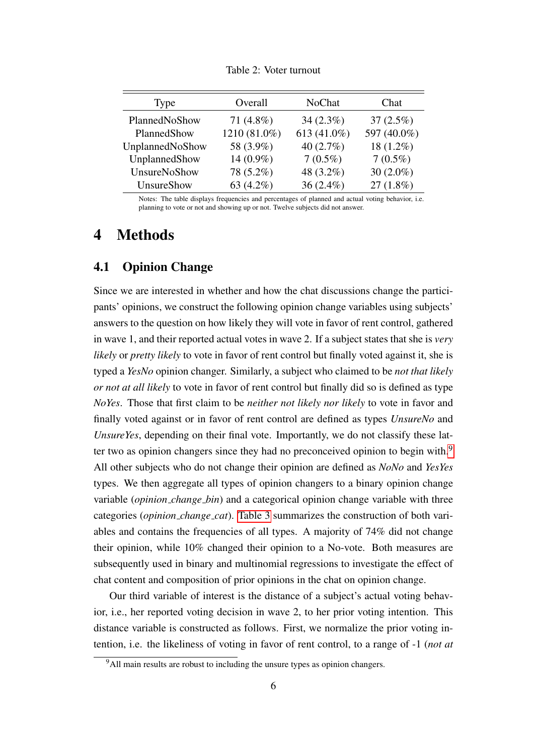<span id="page-6-0"></span>

| Type            | Overall      | NoChat       | Chat         |
|-----------------|--------------|--------------|--------------|
| PlannedNoShow   | 71 $(4.8\%)$ | $34(2.3\%)$  | $37(2.5\%)$  |
| PlannedShow     | 1210 (81.0%) | 613 (41.0%)  | 597 (40.0%)  |
| UnplannedNoShow | 58 (3.9%)    | 40 $(2.7\%)$ | 18 (1.2%)    |
| UnplannedShow   | 14 (0.9%)    | $7(0.5\%)$   | $7(0.5\%)$   |
| UnsureNoShow    | 78 (5.2%)    | 48 (3.2%)    | 30 $(2.0\%)$ |
| UnsureShow      | 63 $(4.2\%)$ | $36(2.4\%)$  | $27(1.8\%)$  |

Table 2: Voter turnout

Notes: The table displays frequencies and percentages of planned and actual voting behavior, i.e. planning to vote or not and showing up or not. Twelve subjects did not answer.

# 4 Methods

## 4.1 Opinion Change

Since we are interested in whether and how the chat discussions change the participants' opinions, we construct the following opinion change variables using subjects' answers to the question on how likely they will vote in favor of rent control, gathered in wave 1, and their reported actual votes in wave 2. If a subject states that she is *very likely* or *pretty likely* to vote in favor of rent control but finally voted against it, she is typed a *YesNo* opinion changer. Similarly, a subject who claimed to be *not that likely or not at all likely* to vote in favor of rent control but finally did so is defined as type *NoYes*. Those that first claim to be *neither not likely nor likely* to vote in favor and finally voted against or in favor of rent control are defined as types *UnsureNo* and *UnsureYes*, depending on their final vote. Importantly, we do not classify these lat-ter two as opinion changers since they had no preconceived opinion to begin with.<sup>[9](#page-0-0)</sup> All other subjects who do not change their opinion are defined as *NoNo* and *YesYes* types. We then aggregate all types of opinion changers to a binary opinion change variable (*opinion change bin*) and a categorical opinion change variable with three categories (*opinion change cat*). [Table 3](#page-7-0) summarizes the construction of both variables and contains the frequencies of all types. A majority of 74% did not change their opinion, while 10% changed their opinion to a No-vote. Both measures are subsequently used in binary and multinomial regressions to investigate the effect of chat content and composition of prior opinions in the chat on opinion change.

Our third variable of interest is the distance of a subject's actual voting behavior, i.e., her reported voting decision in wave 2, to her prior voting intention. This distance variable is constructed as follows. First, we normalize the prior voting intention, i.e. the likeliness of voting in favor of rent control, to a range of -1 (*not at*

<sup>&</sup>lt;sup>9</sup>All main results are robust to including the unsure types as opinion changers.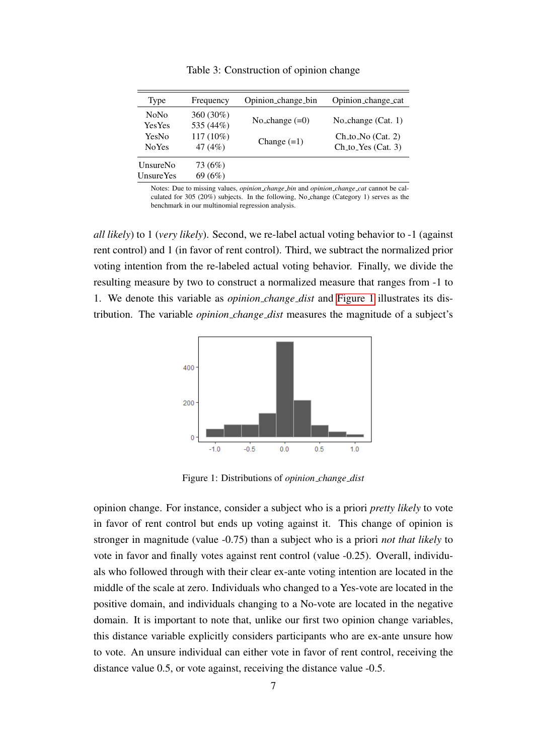<span id="page-7-0"></span>

| Type                                 | Frequency                | Opinion_change_bin | Opinion_change_cat                            |
|--------------------------------------|--------------------------|--------------------|-----------------------------------------------|
| <b>NoNo</b><br><b>Yes Yes</b>        | 360 (30%)<br>535 (44%)   | No_change $(=0)$   | No_change $(Cat. 1)$                          |
| YesNo<br><b>NoYes</b>                | $117(10\%)$<br>47 $(4%)$ | Change $(=1)$      | $Ch_to$ No $(Cat. 2)$<br>$Ch_to_Yes (Cat. 3)$ |
| <b>UnsureNo</b><br><b>Unsure Yes</b> | 73 (6%)<br>69 (6%)       |                    |                                               |

Table 3: Construction of opinion change

Notes: Due to missing values, *opinion change bin* and *opinion change cat* cannot be calculated for 305 (20%) subjects. In the following, No change (Category 1) serves as the benchmark in our multinomial regression analysis.

*all likely*) to 1 (*very likely*). Second, we re-label actual voting behavior to -1 (against rent control) and 1 (in favor of rent control). Third, we subtract the normalized prior voting intention from the re-labeled actual voting behavior. Finally, we divide the resulting measure by two to construct a normalized measure that ranges from -1 to 1. We denote this variable as *opinion change dist* and [Figure 1](#page-7-1) illustrates its distribution. The variable *opinion change dist* measures the magnitude of a subject's

<span id="page-7-1"></span>

Figure 1: Distributions of *opinion change dist*

opinion change. For instance, consider a subject who is a priori *pretty likely* to vote in favor of rent control but ends up voting against it. This change of opinion is stronger in magnitude (value -0.75) than a subject who is a priori *not that likely* to vote in favor and finally votes against rent control (value -0.25). Overall, individuals who followed through with their clear ex-ante voting intention are located in the middle of the scale at zero. Individuals who changed to a Yes-vote are located in the positive domain, and individuals changing to a No-vote are located in the negative domain. It is important to note that, unlike our first two opinion change variables, this distance variable explicitly considers participants who are ex-ante unsure how to vote. An unsure individual can either vote in favor of rent control, receiving the distance value 0.5, or vote against, receiving the distance value -0.5.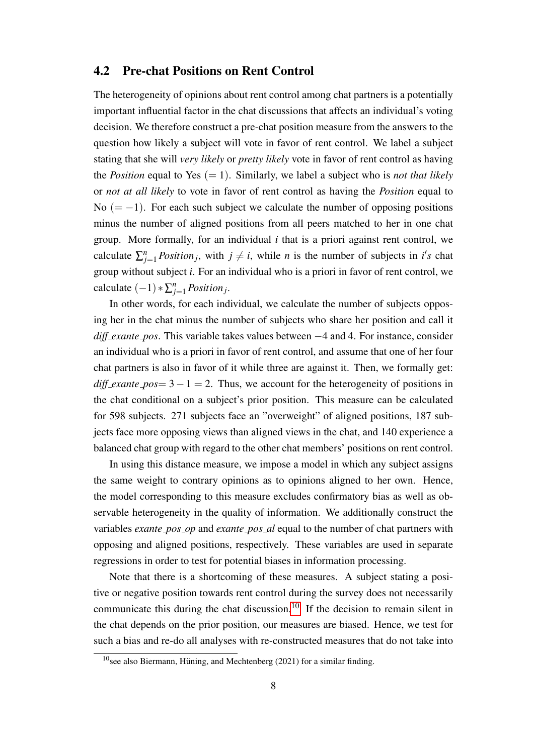### 4.2 Pre-chat Positions on Rent Control

The heterogeneity of opinions about rent control among chat partners is a potentially important influential factor in the chat discussions that affects an individual's voting decision. We therefore construct a pre-chat position measure from the answers to the question how likely a subject will vote in favor of rent control. We label a subject stating that she will *very likely* or *pretty likely* vote in favor of rent control as having the *Position* equal to Yes  $(= 1)$ . Similarly, we label a subject who is *not that likely* or *not at all likely* to vote in favor of rent control as having the *Position* equal to No  $(=-1)$ . For each such subject we calculate the number of opposing positions minus the number of aligned positions from all peers matched to her in one chat group. More formally, for an individual *i* that is a priori against rent control, we calculate  $\sum_{j=1}^{n} Position_j$ , with  $j \neq i$ , while *n* is the number of subjects in *i*'s chat group without subject *i*. For an individual who is a priori in favor of rent control, we calculate  $(-1) * \sum_{j=1}^{n} Position_j$ .

In other words, for each individual, we calculate the number of subjects opposing her in the chat minus the number of subjects who share her position and call it *diff exante pos*. This variable takes values between −4 and 4. For instance, consider an individual who is a priori in favor of rent control, and assume that one of her four chat partners is also in favor of it while three are against it. Then, we formally get: *diff\_exante\_pos*=  $3 - 1 = 2$ . Thus, we account for the heterogeneity of positions in the chat conditional on a subject's prior position. This measure can be calculated for 598 subjects. 271 subjects face an "overweight" of aligned positions, 187 subjects face more opposing views than aligned views in the chat, and 140 experience a balanced chat group with regard to the other chat members' positions on rent control.

In using this distance measure, we impose a model in which any subject assigns the same weight to contrary opinions as to opinions aligned to her own. Hence, the model corresponding to this measure excludes confirmatory bias as well as observable heterogeneity in the quality of information. We additionally construct the variables *exante pos op* and *exante pos al* equal to the number of chat partners with opposing and aligned positions, respectively. These variables are used in separate regressions in order to test for potential biases in information processing.

Note that there is a shortcoming of these measures. A subject stating a positive or negative position towards rent control during the survey does not necessarily communicate this during the chat discussion.<sup>[10](#page-0-0)</sup> If the decision to remain silent in the chat depends on the prior position, our measures are biased. Hence, we test for such a bias and re-do all analyses with re-constructed measures that do not take into

 $10$  see also Biermann, Hüning, and Mechtenberg (2021) for a similar finding.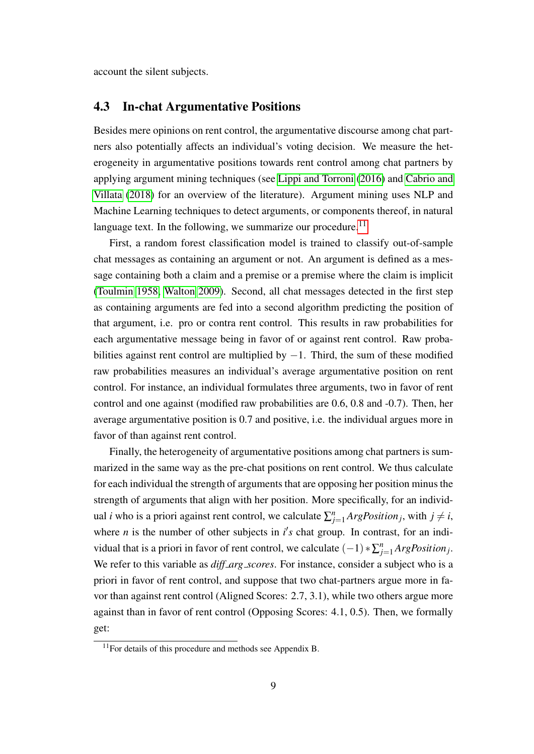account the silent subjects.

## 4.3 In-chat Argumentative Positions

Besides mere opinions on rent control, the argumentative discourse among chat partners also potentially affects an individual's voting decision. We measure the heterogeneity in argumentative positions towards rent control among chat partners by applying argument mining techniques (see [Lippi and Torroni](#page-25-10) [\(2016\)](#page-25-10) and [Cabrio and](#page-23-10) [Villata](#page-23-10) [\(2018\)](#page-23-10) for an overview of the literature). Argument mining uses NLP and Machine Learning techniques to detect arguments, or components thereof, in natural language text. In the following, we summarize our procedure.<sup>[11](#page-0-0)</sup>

First, a random forest classification model is trained to classify out-of-sample chat messages as containing an argument or not. An argument is defined as a message containing both a claim and a premise or a premise where the claim is implicit [\(Toulmin 1958,](#page-26-2) [Walton 2009\)](#page-26-3). Second, all chat messages detected in the first step as containing arguments are fed into a second algorithm predicting the position of that argument, i.e. pro or contra rent control. This results in raw probabilities for each argumentative message being in favor of or against rent control. Raw probabilities against rent control are multiplied by  $-1$ . Third, the sum of these modified raw probabilities measures an individual's average argumentative position on rent control. For instance, an individual formulates three arguments, two in favor of rent control and one against (modified raw probabilities are 0.6, 0.8 and -0.7). Then, her average argumentative position is 0.7 and positive, i.e. the individual argues more in favor of than against rent control.

Finally, the heterogeneity of argumentative positions among chat partners is summarized in the same way as the pre-chat positions on rent control. We thus calculate for each individual the strength of arguments that are opposing her position minus the strength of arguments that align with her position. More specifically, for an individual *i* who is a priori against rent control, we calculate  $\sum_{j=1}^{n} ArgPosition_j$ , with  $j \neq i$ , where *n* is the number of other subjects in  $i's$  chat group. In contrast, for an individual that is a priori in favor of rent control, we calculate  $(-1) * \sum_{j=1}^{n} ArgPosition_j$ . We refer to this variable as *diff\_arg\_scores*. For instance, consider a subject who is a priori in favor of rent control, and suppose that two chat-partners argue more in favor than against rent control (Aligned Scores: 2.7, 3.1), while two others argue more against than in favor of rent control (Opposing Scores: 4.1, 0.5). Then, we formally get:

 $11$  For details of this procedure and methods see Appendix B.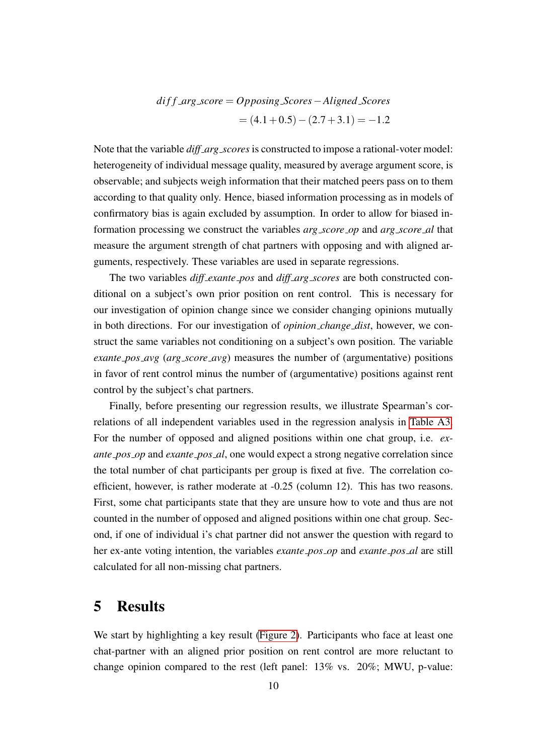$$
diff\_arg\_score = Opposing\_Scores - Aligned\_Scores
$$
  
=  $(4.1 + 0.5) - (2.7 + 3.1) = -1.2$ 

Note that the variable *diff\_arg\_scores* is constructed to impose a rational-voter model: heterogeneity of individual message quality, measured by average argument score, is observable; and subjects weigh information that their matched peers pass on to them according to that quality only. Hence, biased information processing as in models of confirmatory bias is again excluded by assumption. In order to allow for biased information processing we construct the variables *arg score op* and *arg score al* that measure the argument strength of chat partners with opposing and with aligned arguments, respectively. These variables are used in separate regressions.

The two variables *diff exante pos* and *diff arg scores* are both constructed conditional on a subject's own prior position on rent control. This is necessary for our investigation of opinion change since we consider changing opinions mutually in both directions. For our investigation of *opinion change dist*, however, we construct the same variables not conditioning on a subject's own position. The variable *exante pos avg* (*arg score avg*) measures the number of (argumentative) positions in favor of rent control minus the number of (argumentative) positions against rent control by the subject's chat partners.

Finally, before presenting our regression results, we illustrate Spearman's correlations of all independent variables used in the regression analysis in [Table A3.](#page-29-0) For the number of opposed and aligned positions within one chat group, i.e. *exante pos op* and *exante pos al*, one would expect a strong negative correlation since the total number of chat participants per group is fixed at five. The correlation coefficient, however, is rather moderate at -0.25 (column 12). This has two reasons. First, some chat participants state that they are unsure how to vote and thus are not counted in the number of opposed and aligned positions within one chat group. Second, if one of individual i's chat partner did not answer the question with regard to her ex-ante voting intention, the variables *exante pos op* and *exante pos al* are still calculated for all non-missing chat partners.

## 5 Results

We start by highlighting a key result [\(Figure 2\)](#page-11-0). Participants who face at least one chat-partner with an aligned prior position on rent control are more reluctant to change opinion compared to the rest (left panel: 13% vs. 20%; MWU, p-value: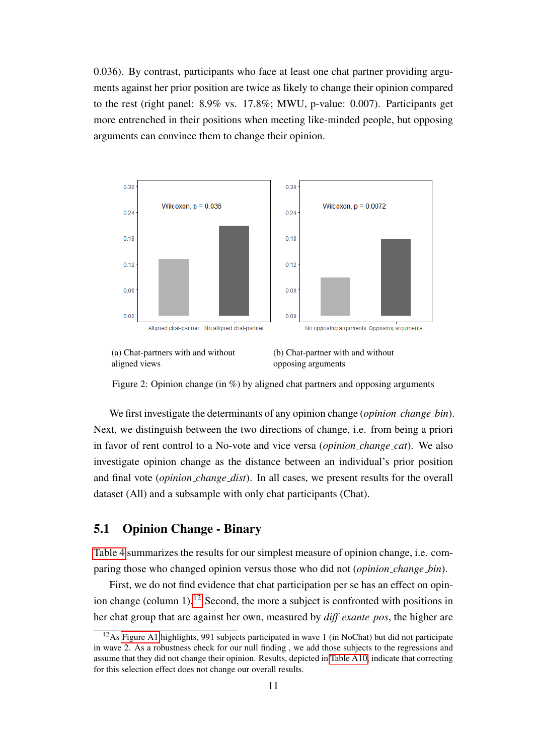0.036). By contrast, participants who face at least one chat partner providing arguments against her prior position are twice as likely to change their opinion compared to the rest (right panel: 8.9% vs. 17.8%; MWU, p-value: 0.007). Participants get more entrenched in their positions when meeting like-minded people, but opposing arguments can convince them to change their opinion.

<span id="page-11-0"></span>



(b) Chat-partner with and without opposing arguments

Figure 2: Opinion change (in %) by aligned chat partners and opposing arguments

We first investigate the determinants of any opinion change (*opinion change bin*). Next, we distinguish between the two directions of change, i.e. from being a priori in favor of rent control to a No-vote and vice versa (*opinion change cat*). We also investigate opinion change as the distance between an individual's prior position and final vote (*opinion change dist*). In all cases, we present results for the overall dataset (All) and a subsample with only chat participants (Chat).

## 5.1 Opinion Change - Binary

[Table 4](#page-13-0) summarizes the results for our simplest measure of opinion change, i.e. comparing those who changed opinion versus those who did not (*opinion change bin*).

First, we do not find evidence that chat participation per se has an effect on opin-ion change (column 1).<sup>[12](#page-0-0)</sup> Second, the more a subject is confronted with positions in her chat group that are against her own, measured by *diff exante pos*, the higher are

 $12$ As [Figure A1](#page-28-0) highlights, 991 subjects participated in wave 1 (in NoChat) but did not participate in wave 2. As a robustness check for our null finding , we add those subjects to the regressions and assume that they did not change their opinion. Results, depicted in [Table A10,](#page-35-0) indicate that correcting for this selection effect does not change our overall results.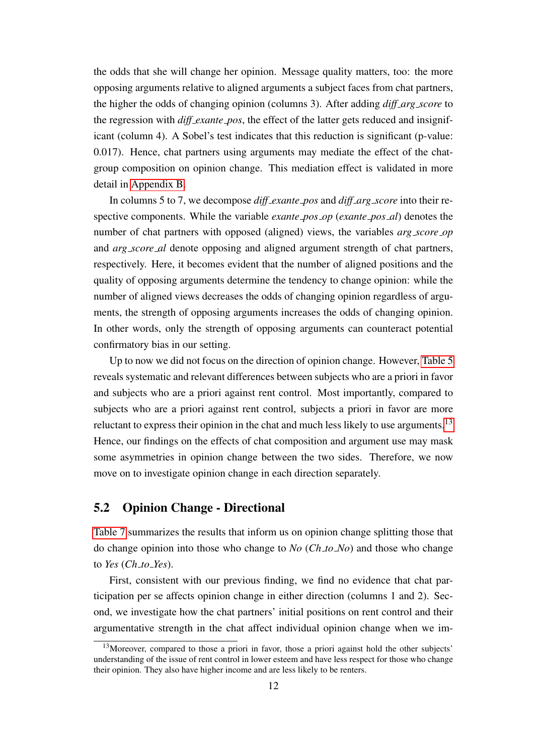the odds that she will change her opinion. Message quality matters, too: the more opposing arguments relative to aligned arguments a subject faces from chat partners, the higher the odds of changing opinion (columns 3). After adding *diff arg score* to the regression with *diff exante pos*, the effect of the latter gets reduced and insignificant (column 4). A Sobel's test indicates that this reduction is significant (p-value: 0.017). Hence, chat partners using arguments may mediate the effect of the chatgroup composition on opinion change. This mediation effect is validated in more detail in [Appendix B.](#page-46-0)

In columns 5 to 7, we decompose *diff exante pos* and *diff arg score* into their respective components. While the variable *exante pos op* (*exante pos al*) denotes the number of chat partners with opposed (aligned) views, the variables *arg score op* and *arg score al* denote opposing and aligned argument strength of chat partners, respectively. Here, it becomes evident that the number of aligned positions and the quality of opposing arguments determine the tendency to change opinion: while the number of aligned views decreases the odds of changing opinion regardless of arguments, the strength of opposing arguments increases the odds of changing opinion. In other words, only the strength of opposing arguments can counteract potential confirmatory bias in our setting.

Up to now we did not focus on the direction of opinion change. However, [Table 5](#page-14-0) reveals systematic and relevant differences between subjects who are a priori in favor and subjects who are a priori against rent control. Most importantly, compared to subjects who are a priori against rent control, subjects a priori in favor are more reluctant to express their opinion in the chat and much less likely to use arguments.<sup>[13](#page-0-0)</sup> Hence, our findings on the effects of chat composition and argument use may mask some asymmetries in opinion change between the two sides. Therefore, we now move on to investigate opinion change in each direction separately.

### 5.2 Opinion Change - Directional

[Table 7](#page-17-0) summarizes the results that inform us on opinion change splitting those that do change opinion into those who change to *No* (*Ch to No*) and those who change to *Yes* (*Ch to Yes*).

First, consistent with our previous finding, we find no evidence that chat participation per se affects opinion change in either direction (columns 1 and 2). Second, we investigate how the chat partners' initial positions on rent control and their argumentative strength in the chat affect individual opinion change when we im-

 $13$ Moreover, compared to those a priori in favor, those a priori against hold the other subjects' understanding of the issue of rent control in lower esteem and have less respect for those who change their opinion. They also have higher income and are less likely to be renters.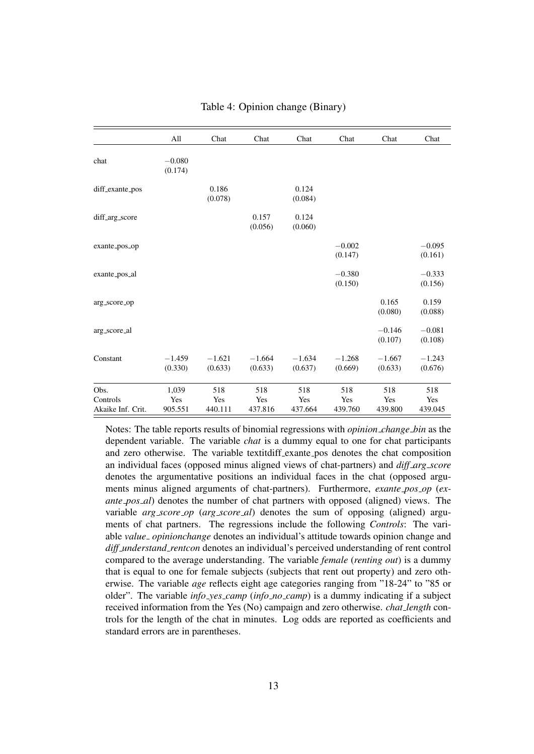<span id="page-13-0"></span>

|                                       | All                     | Chat                  | Chat                  | Chat                  | Chat                  | Chat                  | Chat                  |
|---------------------------------------|-------------------------|-----------------------|-----------------------|-----------------------|-----------------------|-----------------------|-----------------------|
| chat                                  | $-0.080$<br>(0.174)     |                       |                       |                       |                       |                       |                       |
| diff_exante_pos                       |                         | 0.186<br>(0.078)      |                       | 0.124<br>(0.084)      |                       |                       |                       |
| diff_arg_score                        |                         |                       | 0.157<br>(0.056)      | 0.124<br>(0.060)      |                       |                       |                       |
| exante_pos_op                         |                         |                       |                       |                       | $-0.002$<br>(0.147)   |                       | $-0.095$<br>(0.161)   |
| exante_pos_al                         |                         |                       |                       |                       | $-0.380$<br>(0.150)   |                       | $-0.333$<br>(0.156)   |
| arg_score_op                          |                         |                       |                       |                       |                       | 0.165<br>(0.080)      | 0.159<br>(0.088)      |
| arg_score_al                          |                         |                       |                       |                       |                       | $-0.146$<br>(0.107)   | $-0.081$<br>(0.108)   |
| Constant                              | $-1.459$<br>(0.330)     | $-1.621$<br>(0.633)   | $-1.664$<br>(0.633)   | $-1.634$<br>(0.637)   | $-1.268$<br>(0.669)   | $-1.667$<br>(0.633)   | $-1.243$<br>(0.676)   |
| Obs.<br>Controls<br>Akaike Inf. Crit. | 1,039<br>Yes<br>905.551 | 518<br>Yes<br>440.111 | 518<br>Yes<br>437.816 | 518<br>Yes<br>437.664 | 518<br>Yes<br>439.760 | 518<br>Yes<br>439.800 | 518<br>Yes<br>439.045 |

#### Table 4: Opinion change (Binary)

Notes: The table reports results of binomial regressions with *opinion change bin* as the dependent variable. The variable *chat* is a dummy equal to one for chat participants and zero otherwise. The variable textitdiff exante pos denotes the chat composition an individual faces (opposed minus aligned views of chat-partners) and *diff arg score* denotes the argumentative positions an individual faces in the chat (opposed arguments minus aligned arguments of chat-partners). Furthermore, *exante pos op* (*exante pos al*) denotes the number of chat partners with opposed (aligned) views. The variable *arg score op* (*arg score al*) denotes the sum of opposing (aligned) arguments of chat partners. The regressions include the following *Controls*: The variable *value opinionchange* denotes an individual's attitude towards opinion change and *diff understand rentcon* denotes an individual's perceived understanding of rent control compared to the average understanding. The variable *female* (*renting out*) is a dummy that is equal to one for female subjects (subjects that rent out property) and zero otherwise. The variable *age* reflects eight age categories ranging from "18-24" to "85 or older". The variable *info yes camp* (*info no camp*) is a dummy indicating if a subject received information from the Yes (No) campaign and zero otherwise. *chat length* controls for the length of the chat in minutes. Log odds are reported as coefficients and standard errors are in parentheses.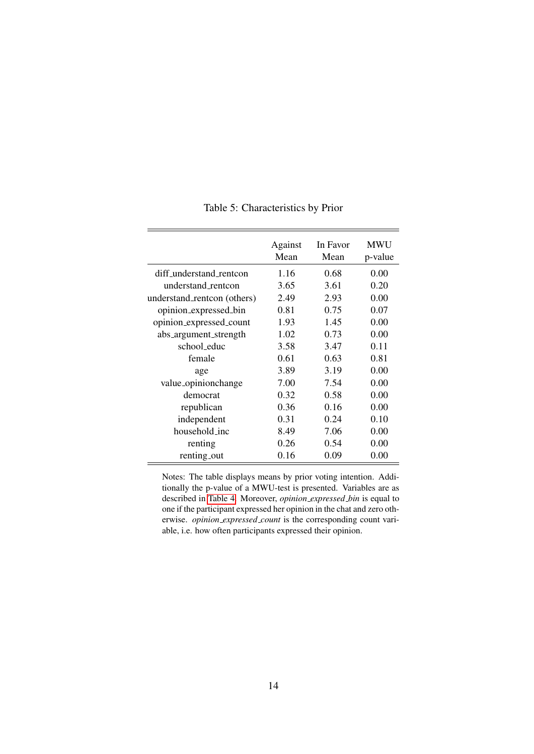<span id="page-14-0"></span>

|                             | Against<br>Mean | In Favor<br>Mean | <b>MWU</b><br>p-value |
|-----------------------------|-----------------|------------------|-----------------------|
| diff_understand_rentcon     | 1.16            | 0.68             | 0.00                  |
| understand_rentcon          | 3.65            | 3.61             | 0.20                  |
| understand_rentcon (others) | 2.49            | 2.93             | 0.00                  |
| opinion_expressed_bin       | 0.81            | 0.75             | 0.07                  |
| opinion_expressed_count     | 1.93            | 1.45             | 0.00                  |
| abs_argument_strength       | 1.02            | 0.73             | 0.00                  |
| school_educ                 | 3.58            | 3.47             | 0.11                  |
| female                      | 0.61            | 0.63             | 0.81                  |
| age                         | 3.89            | 3.19             | 0.00                  |
| value_opinionchange         | 7.00            | 7.54             | 0.00                  |
| democrat                    | 0.32            | 0.58             | 0.00                  |
| republican                  | 0.36            | 0.16             | 0.00                  |
| independent                 | 0.31            | 0.24             | 0.10                  |
| household_inc               | 8.49            | 7.06             | 0.00                  |
| renting                     | 0.26            | 0.54             | 0.00                  |
| renting_out                 | 0.16            | 0.09             | 0.00                  |

Table 5: Characteristics by Prior

Notes: The table displays means by prior voting intention. Additionally the p-value of a MWU-test is presented. Variables are as described in [Table 4.](#page-13-0) Moreover, *opinion expressed bin* is equal to one if the participant expressed her opinion in the chat and zero otherwise. *opinion expressed count* is the corresponding count variable, i.e. how often participants expressed their opinion.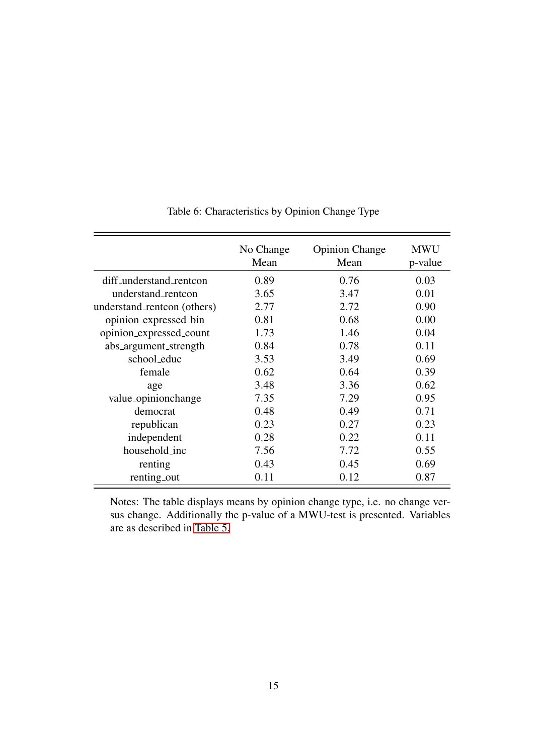|                             | No Change<br>Mean | <b>Opinion Change</b><br>Mean | <b>MWU</b><br>p-value |
|-----------------------------|-------------------|-------------------------------|-----------------------|
| diff_understand_rentcon     | 0.89              | 0.76                          | 0.03                  |
| understand_rentcon          | 3.65              | 3.47                          | 0.01                  |
| understand_rentcon (others) | 2.77              | 2.72                          | 0.90                  |
| opinion_expressed_bin       | 0.81              | 0.68                          | 0.00                  |
| opinion_expressed_count     | 1.73              | 1.46                          | 0.04                  |
| abs_argument_strength       | 0.84              | 0.78                          | 0.11                  |
| school_educ                 | 3.53              | 3.49                          | 0.69                  |
| female                      | 0.62              | 0.64                          | 0.39                  |
| age                         | 3.48              | 3.36                          | 0.62                  |
| value_opinionchange         | 7.35              | 7.29                          | 0.95                  |
| democrat                    | 0.48              | 0.49                          | 0.71                  |
| republican                  | 0.23              | 0.27                          | 0.23                  |
| independent                 | 0.28              | 0.22                          | 0.11                  |
| household_inc               | 7.56              | 7.72                          | 0.55                  |
| renting                     | 0.43              | 0.45                          | 0.69                  |
| renting_out                 | 0.11              | 0.12                          | 0.87                  |

## Table 6: Characteristics by Opinion Change Type

Notes: The table displays means by opinion change type, i.e. no change versus change. Additionally the p-value of a MWU-test is presented. Variables are as described in [Table 5.](#page-14-0)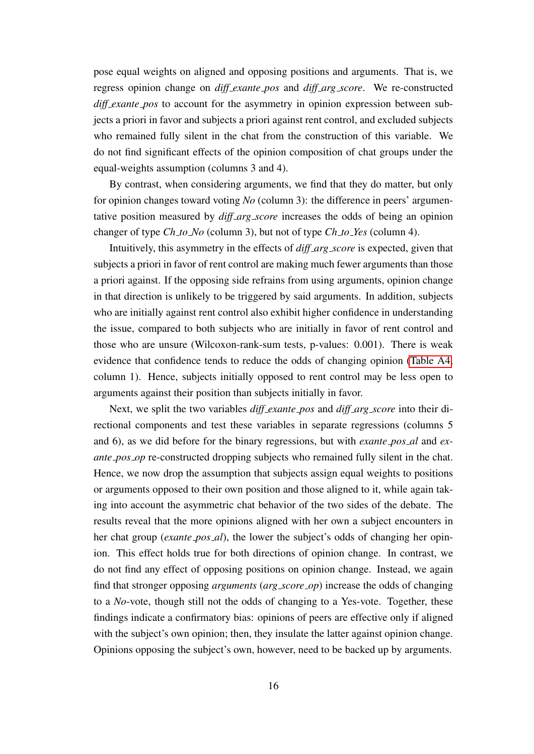pose equal weights on aligned and opposing positions and arguments. That is, we regress opinion change on *diff exante pos* and *diff arg score*. We re-constructed *diff exante pos* to account for the asymmetry in opinion expression between subjects a priori in favor and subjects a priori against rent control, and excluded subjects who remained fully silent in the chat from the construction of this variable. We do not find significant effects of the opinion composition of chat groups under the equal-weights assumption (columns 3 and 4).

By contrast, when considering arguments, we find that they do matter, but only for opinion changes toward voting *No* (column 3): the difference in peers' argumentative position measured by *diff\_arg\_score* increases the odds of being an opinion changer of type *Ch to No* (column 3), but not of type *Ch to Yes* (column 4).

Intuitively, this asymmetry in the effects of *diff arg score* is expected, given that subjects a priori in favor of rent control are making much fewer arguments than those a priori against. If the opposing side refrains from using arguments, opinion change in that direction is unlikely to be triggered by said arguments. In addition, subjects who are initially against rent control also exhibit higher confidence in understanding the issue, compared to both subjects who are initially in favor of rent control and those who are unsure (Wilcoxon-rank-sum tests, p-values: 0.001). There is weak evidence that confidence tends to reduce the odds of changing opinion [\(Table A4,](#page-30-0) column 1). Hence, subjects initially opposed to rent control may be less open to arguments against their position than subjects initially in favor.

Next, we split the two variables *diff exante pos* and *diff arg score* into their directional components and test these variables in separate regressions (columns 5 and 6), as we did before for the binary regressions, but with *exante pos al* and *exante\_pos\_op* re-constructed dropping subjects who remained fully silent in the chat. Hence, we now drop the assumption that subjects assign equal weights to positions or arguments opposed to their own position and those aligned to it, while again taking into account the asymmetric chat behavior of the two sides of the debate. The results reveal that the more opinions aligned with her own a subject encounters in her chat group (*exante\_pos\_al*), the lower the subject's odds of changing her opinion. This effect holds true for both directions of opinion change. In contrast, we do not find any effect of opposing positions on opinion change. Instead, we again find that stronger opposing *arguments* (*arg score op*) increase the odds of changing to a *No*-vote, though still not the odds of changing to a Yes-vote. Together, these findings indicate a confirmatory bias: opinions of peers are effective only if aligned with the subject's own opinion; then, they insulate the latter against opinion change. Opinions opposing the subject's own, however, need to be backed up by arguments.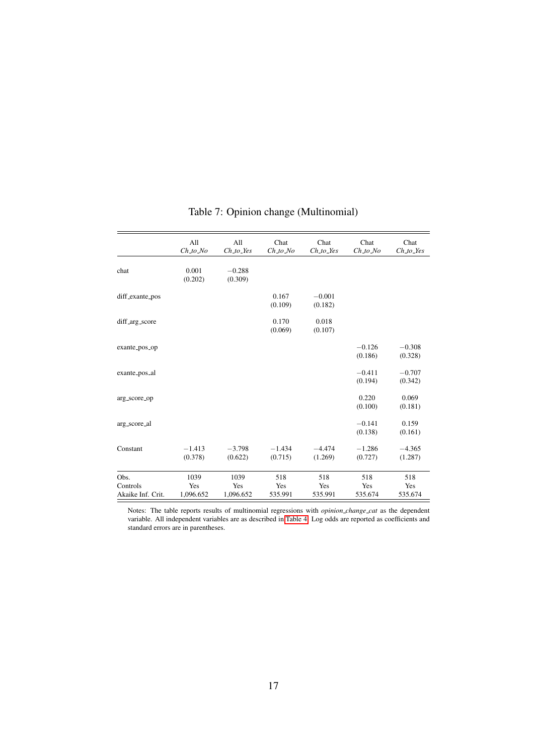<span id="page-17-0"></span>

|                                       | All<br>$Ch\_to\ No$      | All<br>$Ch\_to\_Yes$     | Chat<br>$Ch\_to\_No$  | Chat<br>$Ch\_to\_Yes$ | Chat<br>$Ch\_to\_No$  | Chat<br>$Ch\_to\_Yes$ |
|---------------------------------------|--------------------------|--------------------------|-----------------------|-----------------------|-----------------------|-----------------------|
| chat                                  | 0.001<br>(0.202)         | $-0.288$<br>(0.309)      |                       |                       |                       |                       |
| diff_exante_pos                       |                          |                          | 0.167<br>(0.109)      | $-0.001$<br>(0.182)   |                       |                       |
| diff_arg_score                        |                          |                          | 0.170<br>(0.069)      | 0.018<br>(0.107)      |                       |                       |
| exante_pos_op                         |                          |                          |                       |                       | $-0.126$<br>(0.186)   | $-0.308$<br>(0.328)   |
| exante_pos_al                         |                          |                          |                       |                       | $-0.411$<br>(0.194)   | $-0.707$<br>(0.342)   |
| arg_score_op                          |                          |                          |                       |                       | 0.220<br>(0.100)      | 0.069<br>(0.181)      |
| arg_score_al                          |                          |                          |                       |                       | $-0.141$<br>(0.138)   | 0.159<br>(0.161)      |
| Constant                              | $-1.413$<br>(0.378)      | $-3.798$<br>(0.622)      | $-1.434$<br>(0.715)   | $-4.474$<br>(1.269)   | $-1.286$<br>(0.727)   | $-4.365$<br>(1.287)   |
| Obs.<br>Controls<br>Akaike Inf. Crit. | 1039<br>Yes<br>1,096.652 | 1039<br>Yes<br>1,096.652 | 518<br>Yes<br>535.991 | 518<br>Yes<br>535.991 | 518<br>Yes<br>535.674 | 518<br>Yes<br>535.674 |

# Table 7: Opinion change (Multinomial)

Notes: The table reports results of multinomial regressions with *opinion change cat* as the dependent variable. All independent variables are as described in [Table 4.](#page-13-0) Log odds are reported as coefficients and standard errors are in parentheses.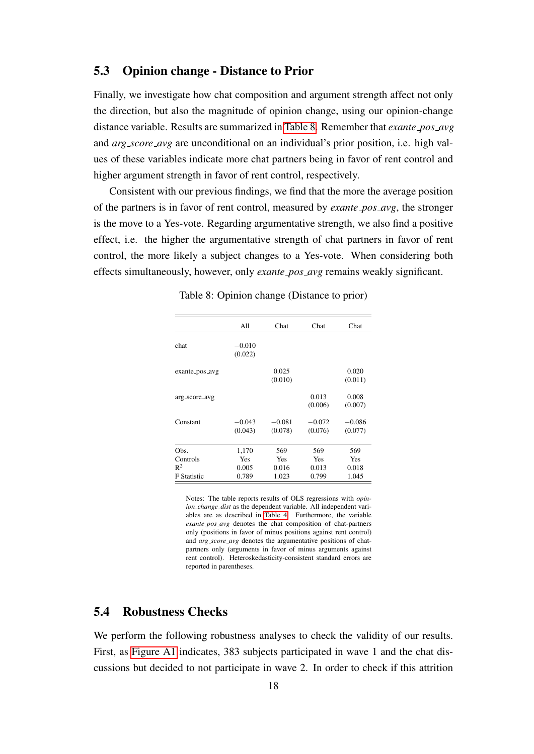### 5.3 Opinion change - Distance to Prior

Finally, we investigate how chat composition and argument strength affect not only the direction, but also the magnitude of opinion change, using our opinion-change distance variable. Results are summarized in [Table 8.](#page-18-0) Remember that *exante pos avg* and *arg score avg* are unconditional on an individual's prior position, i.e. high values of these variables indicate more chat partners being in favor of rent control and higher argument strength in favor of rent control, respectively.

Consistent with our previous findings, we find that the more the average position of the partners is in favor of rent control, measured by *exante pos avg*, the stronger is the move to a Yes-vote. Regarding argumentative strength, we also find a positive effect, i.e. the higher the argumentative strength of chat partners in favor of rent control, the more likely a subject changes to a Yes-vote. When considering both effects simultaneously, however, only *exante pos avg* remains weakly significant.

<span id="page-18-0"></span>

| All        | Chat     | Chat     | Chat     |
|------------|----------|----------|----------|
|            |          |          |          |
| (0.022)    |          |          |          |
|            | 0.025    |          | 0.020    |
|            |          |          | (0.011)  |
|            |          | 0.013    | 0.008    |
|            |          |          | (0.007)  |
| $-0.043$   | $-0.081$ | $-0.072$ | $-0.086$ |
| (0.043)    | (0.078)  | (0.076)  | (0.077)  |
| 1,170      | 569      | 569      | 569      |
| <b>Yes</b> | Yes      | Yes      | Yes      |
| 0.005      | 0.016    | 0.013    | 0.018    |
| 0.789      | 1.023    | 0.799    | 1.045    |
|            | $-0.010$ | (0.010)  | (0.006)  |

Table 8: Opinion change (Distance to prior)

Notes: The table reports results of OLS regressions with *opinion change dist* as the dependent variable. All independent variables are as described in [Table 4.](#page-13-0) Furthermore, the variable *exante pos avg* denotes the chat composition of chat-partners only (positions in favor of minus positions against rent control) and *arg score avg* denotes the argumentative positions of chatpartners only (arguments in favor of minus arguments against rent control). Heteroskedasticity-consistent standard errors are reported in parentheses.

### 5.4 Robustness Checks

We perform the following robustness analyses to check the validity of our results. First, as [Figure A1](#page-28-0) indicates, 383 subjects participated in wave 1 and the chat discussions but decided to not participate in wave 2. In order to check if this attrition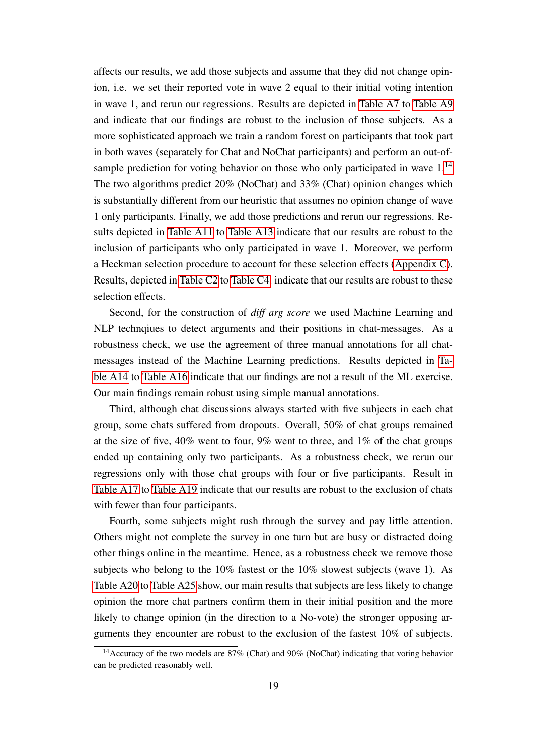affects our results, we add those subjects and assume that they did not change opinion, i.e. we set their reported vote in wave 2 equal to their initial voting intention in wave 1, and rerun our regressions. Results are depicted in [Table A7](#page-33-0) to [Table A9](#page-34-0) and indicate that our findings are robust to the inclusion of those subjects. As a more sophisticated approach we train a random forest on participants that took part in both waves (separately for Chat and NoChat participants) and perform an out-ofsample prediction for voting behavior on those who only participated in wave  $1<sup>14</sup>$  $1<sup>14</sup>$  $1<sup>14</sup>$ The two algorithms predict 20% (NoChat) and 33% (Chat) opinion changes which is substantially different from our heuristic that assumes no opinion change of wave 1 only participants. Finally, we add those predictions and rerun our regressions. Results depicted in [Table A11](#page-35-1) to [Table A13](#page-36-0) indicate that our results are robust to the inclusion of participants who only participated in wave 1. Moreover, we perform a Heckman selection procedure to account for these selection effects [\(Appendix C\)](#page-50-0). Results, depicted in [Table C2](#page-51-0) to [Table C4,](#page-52-0) indicate that our results are robust to these selection effects.

Second, for the construction of *diff arg score* we used Machine Learning and NLP technqiues to detect arguments and their positions in chat-messages. As a robustness check, we use the agreement of three manual annotations for all chatmessages instead of the Machine Learning predictions. Results depicted in [Ta](#page-37-0)[ble A14](#page-37-0) to [Table A16](#page-38-0) indicate that our findings are not a result of the ML exercise. Our main findings remain robust using simple manual annotations.

Third, although chat discussions always started with five subjects in each chat group, some chats suffered from dropouts. Overall, 50% of chat groups remained at the size of five, 40% went to four, 9% went to three, and 1% of the chat groups ended up containing only two participants. As a robustness check, we rerun our regressions only with those chat groups with four or five participants. Result in [Table A17](#page-39-0) to [Table A19](#page-40-0) indicate that our results are robust to the exclusion of chats with fewer than four participants.

Fourth, some subjects might rush through the survey and pay little attention. Others might not complete the survey in one turn but are busy or distracted doing other things online in the meantime. Hence, as a robustness check we remove those subjects who belong to the 10% fastest or the 10% slowest subjects (wave 1). As [Table A20](#page-41-0) to [Table A25](#page-45-0) show, our main results that subjects are less likely to change opinion the more chat partners confirm them in their initial position and the more likely to change opinion (in the direction to a No-vote) the stronger opposing arguments they encounter are robust to the exclusion of the fastest 10% of subjects.

 $14$ Accuracy of the two models are 87% (Chat) and 90% (NoChat) indicating that voting behavior can be predicted reasonably well.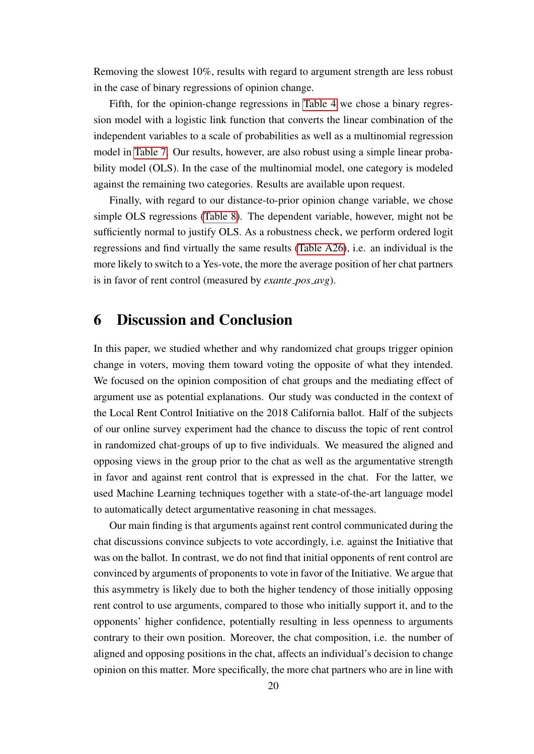Removing the slowest 10%, results with regard to argument strength are less robust in the case of binary regressions of opinion change.

Fifth, for the opinion-change regressions in [Table 4](#page-13-0) we chose a binary regression model with a logistic link function that converts the linear combination of the independent variables to a scale of probabilities as well as a multinomial regression model in [Table 7.](#page-17-0) Our results, however, are also robust using a simple linear probability model (OLS). In the case of the multinomial model, one category is modeled against the remaining two categories. Results are available upon request.

Finally, with regard to our distance-to-prior opinion change variable, we chose simple OLS regressions [\(Table 8\)](#page-18-0). The dependent variable, however, might not be sufficiently normal to justify OLS. As a robustness check, we perform ordered logit regressions and find virtually the same results [\(Table A26\)](#page-45-1), i.e. an individual is the more likely to switch to a Yes-vote, the more the average position of her chat partners is in favor of rent control (measured by *exante pos avg*).

## 6 Discussion and Conclusion

In this paper, we studied whether and why randomized chat groups trigger opinion change in voters, moving them toward voting the opposite of what they intended. We focused on the opinion composition of chat groups and the mediating effect of argument use as potential explanations. Our study was conducted in the context of the Local Rent Control Initiative on the 2018 California ballot. Half of the subjects of our online survey experiment had the chance to discuss the topic of rent control in randomized chat-groups of up to five individuals. We measured the aligned and opposing views in the group prior to the chat as well as the argumentative strength in favor and against rent control that is expressed in the chat. For the latter, we used Machine Learning techniques together with a state-of-the-art language model to automatically detect argumentative reasoning in chat messages.

Our main finding is that arguments against rent control communicated during the chat discussions convince subjects to vote accordingly, i.e. against the Initiative that was on the ballot. In contrast, we do not find that initial opponents of rent control are convinced by arguments of proponents to vote in favor of the Initiative. We argue that this asymmetry is likely due to both the higher tendency of those initially opposing rent control to use arguments, compared to those who initially support it, and to the opponents' higher confidence, potentially resulting in less openness to arguments contrary to their own position. Moreover, the chat composition, i.e. the number of aligned and opposing positions in the chat, affects an individual's decision to change opinion on this matter. More specifically, the more chat partners who are in line with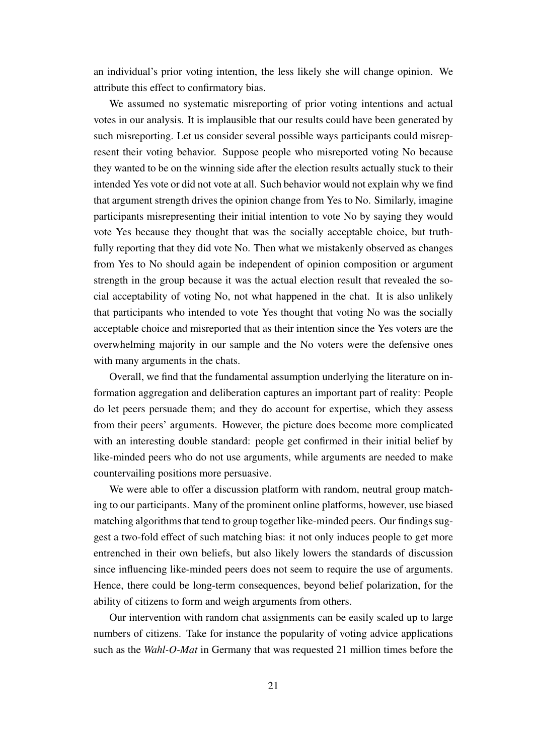an individual's prior voting intention, the less likely she will change opinion. We attribute this effect to confirmatory bias.

We assumed no systematic misreporting of prior voting intentions and actual votes in our analysis. It is implausible that our results could have been generated by such misreporting. Let us consider several possible ways participants could misrepresent their voting behavior. Suppose people who misreported voting No because they wanted to be on the winning side after the election results actually stuck to their intended Yes vote or did not vote at all. Such behavior would not explain why we find that argument strength drives the opinion change from Yes to No. Similarly, imagine participants misrepresenting their initial intention to vote No by saying they would vote Yes because they thought that was the socially acceptable choice, but truthfully reporting that they did vote No. Then what we mistakenly observed as changes from Yes to No should again be independent of opinion composition or argument strength in the group because it was the actual election result that revealed the social acceptability of voting No, not what happened in the chat. It is also unlikely that participants who intended to vote Yes thought that voting No was the socially acceptable choice and misreported that as their intention since the Yes voters are the overwhelming majority in our sample and the No voters were the defensive ones with many arguments in the chats.

Overall, we find that the fundamental assumption underlying the literature on information aggregation and deliberation captures an important part of reality: People do let peers persuade them; and they do account for expertise, which they assess from their peers' arguments. However, the picture does become more complicated with an interesting double standard: people get confirmed in their initial belief by like-minded peers who do not use arguments, while arguments are needed to make countervailing positions more persuasive.

We were able to offer a discussion platform with random, neutral group matching to our participants. Many of the prominent online platforms, however, use biased matching algorithms that tend to group together like-minded peers. Our findings suggest a two-fold effect of such matching bias: it not only induces people to get more entrenched in their own beliefs, but also likely lowers the standards of discussion since influencing like-minded peers does not seem to require the use of arguments. Hence, there could be long-term consequences, beyond belief polarization, for the ability of citizens to form and weigh arguments from others.

Our intervention with random chat assignments can be easily scaled up to large numbers of citizens. Take for instance the popularity of voting advice applications such as the *Wahl-O-Mat* in Germany that was requested 21 million times before the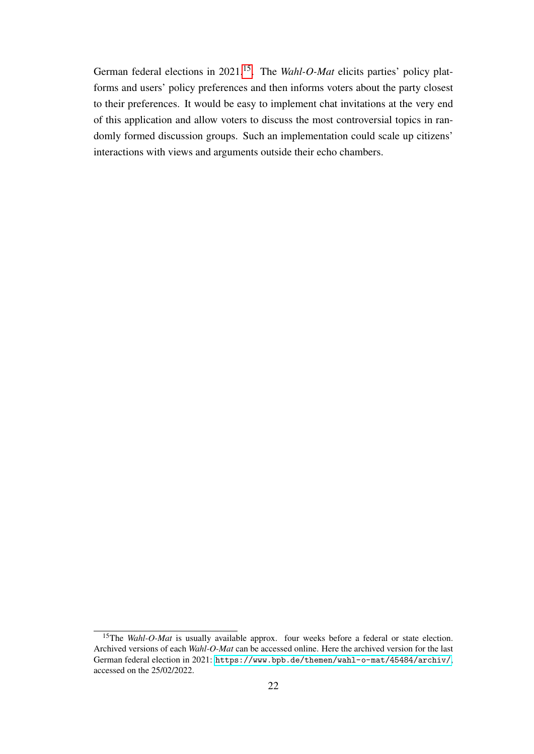German federal elections in 2021.[15](#page-0-0). The *Wahl-O-Mat* elicits parties' policy platforms and users' policy preferences and then informs voters about the party closest to their preferences. It would be easy to implement chat invitations at the very end of this application and allow voters to discuss the most controversial topics in randomly formed discussion groups. Such an implementation could scale up citizens' interactions with views and arguments outside their echo chambers.

<sup>&</sup>lt;sup>15</sup>The *Wahl-O-Mat* is usually available approx. four weeks before a federal or state election. Archived versions of each *Wahl-O-Mat* can be accessed online. Here the archived version for the last German federal election in 2021: <https://www.bpb.de/themen/wahl-o-mat/45484/archiv/>, accessed on the 25/02/2022.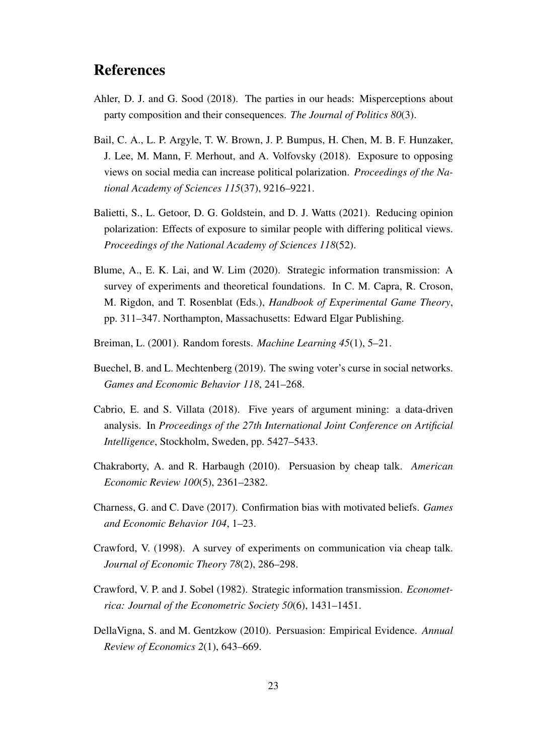# References

- <span id="page-23-1"></span>Ahler, D. J. and G. Sood (2018). The parties in our heads: Misperceptions about party composition and their consequences. *The Journal of Politics 80*(3).
- <span id="page-23-0"></span>Bail, C. A., L. P. Argyle, T. W. Brown, J. P. Bumpus, H. Chen, M. B. F. Hunzaker, J. Lee, M. Mann, F. Merhout, and A. Volfovsky (2018). Exposure to opposing views on social media can increase political polarization. *Proceedings of the National Academy of Sciences 115*(37), 9216–9221.
- <span id="page-23-6"></span>Balietti, S., L. Getoor, D. G. Goldstein, and D. J. Watts (2021). Reducing opinion polarization: Effects of exposure to similar people with differing political views. *Proceedings of the National Academy of Sciences 118*(52).
- <span id="page-23-5"></span>Blume, A., E. K. Lai, and W. Lim (2020). Strategic information transmission: A survey of experiments and theoretical foundations. In C. M. Capra, R. Croson, M. Rigdon, and T. Rosenblat (Eds.), *Handbook of Experimental Game Theory*, pp. 311–347. Northampton, Massachusetts: Edward Elgar Publishing.
- <span id="page-23-11"></span>Breiman, L. (2001). Random forests. *Machine Learning 45*(1), 5–21.
- <span id="page-23-7"></span>Buechel, B. and L. Mechtenberg (2019). The swing voter's curse in social networks. *Games and Economic Behavior 118*, 241–268.
- <span id="page-23-10"></span>Cabrio, E. and S. Villata (2018). Five years of argument mining: a data-driven analysis. In *Proceedings of the 27th International Joint Conference on Artificial Intelligence*, Stockholm, Sweden, pp. 5427–5433.
- <span id="page-23-4"></span>Chakraborty, A. and R. Harbaugh (2010). Persuasion by cheap talk. *American Economic Review 100*(5), 2361–2382.
- <span id="page-23-8"></span>Charness, G. and C. Dave (2017). Confirmation bias with motivated beliefs. *Games and Economic Behavior 104*, 1–23.
- <span id="page-23-3"></span>Crawford, V. (1998). A survey of experiments on communication via cheap talk. *Journal of Economic Theory 78*(2), 286–298.
- <span id="page-23-2"></span>Crawford, V. P. and J. Sobel (1982). Strategic information transmission. *Econometrica: Journal of the Econometric Society 50*(6), 1431–1451.
- <span id="page-23-9"></span>DellaVigna, S. and M. Gentzkow (2010). Persuasion: Empirical Evidence. *Annual Review of Economics 2*(1), 643–669.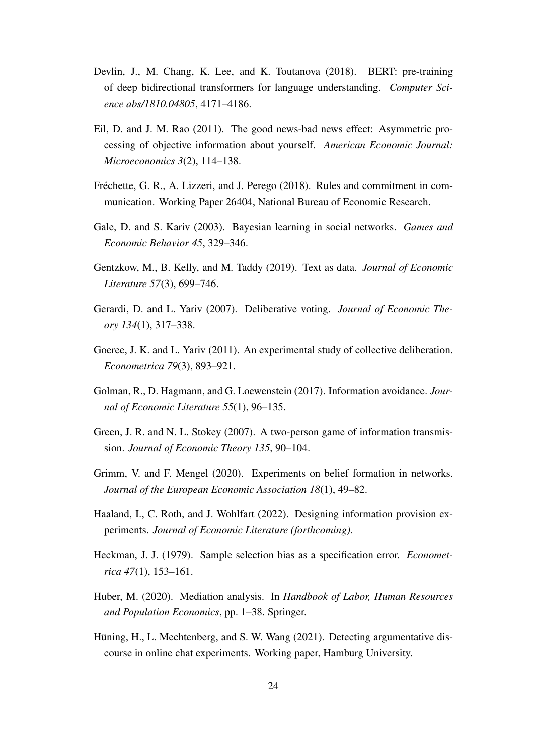- <span id="page-24-12"></span>Devlin, J., M. Chang, K. Lee, and K. Toutanova (2018). BERT: pre-training of deep bidirectional transformers for language understanding. *Computer Science abs/1810.04805*, 4171–4186.
- <span id="page-24-9"></span>Eil, D. and J. M. Rao (2011). The good news-bad news effect: Asymmetric processing of objective information about yourself. *American Economic Journal: Microeconomics 3*(2), 114–138.
- <span id="page-24-5"></span>Fréchette, G. R., A. Lizzeri, and J. Perego (2018). Rules and commitment in communication. Working Paper 26404, National Bureau of Economic Research.
- <span id="page-24-2"></span>Gale, D. and S. Kariv (2003). Bayesian learning in social networks. *Games and Economic Behavior 45*, 329–346.
- <span id="page-24-8"></span>Gentzkow, M., B. Kelly, and M. Taddy (2019). Text as data. *Journal of Economic Literature 57*(3), 699–746.
- <span id="page-24-3"></span>Gerardi, D. and L. Yariv (2007). Deliberative voting. *Journal of Economic Theory 134*(1), 317–338.
- <span id="page-24-4"></span>Goeree, J. K. and L. Yariv (2011). An experimental study of collective deliberation. *Econometrica 79*(3), 893–921.
- <span id="page-24-7"></span>Golman, R., D. Hagmann, and G. Loewenstein (2017). Information avoidance. *Journal of Economic Literature 55*(1), 96–135.
- <span id="page-24-1"></span>Green, J. R. and N. L. Stokey (2007). A two-person game of information transmission. *Journal of Economic Theory 135*, 90–104.
- <span id="page-24-6"></span>Grimm, V. and F. Mengel (2020). Experiments on belief formation in networks. *Journal of the European Economic Association 18*(1), 49–82.
- <span id="page-24-0"></span>Haaland, I., C. Roth, and J. Wohlfart (2022). Designing information provision experiments. *Journal of Economic Literature (forthcoming)*.
- <span id="page-24-11"></span>Heckman, J. J. (1979). Sample selection bias as a specification error. *Econometrica 47*(1), 153–161.
- <span id="page-24-10"></span>Huber, M. (2020). Mediation analysis. In *Handbook of Labor, Human Resources and Population Economics*, pp. 1–38. Springer.
- <span id="page-24-13"></span>Hüning, H., L. Mechtenberg, and S. W. Wang (2021). Detecting argumentative discourse in online chat experiments. Working paper, Hamburg University.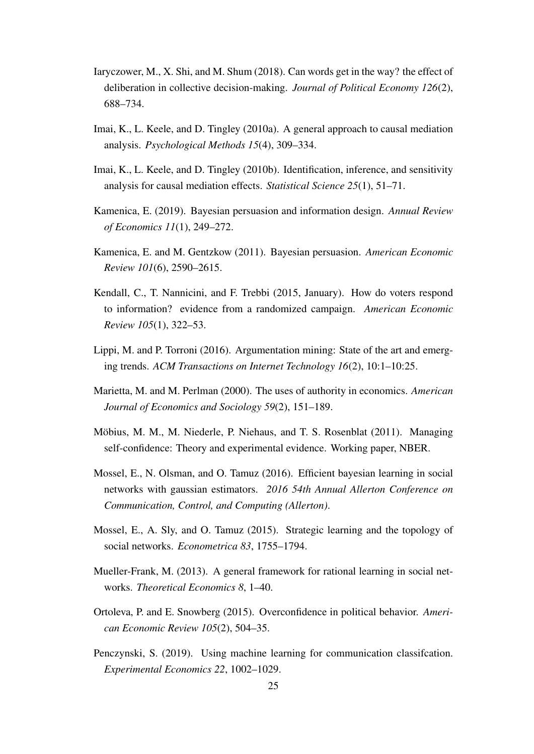- <span id="page-25-6"></span>Iaryczower, M., X. Shi, and M. Shum (2018). Can words get in the way? the effect of deliberation in collective decision-making. *Journal of Political Economy 126*(2), 688–734.
- <span id="page-25-11"></span>Imai, K., L. Keele, and D. Tingley (2010a). A general approach to causal mediation analysis. *Psychological Methods 15*(4), 309–334.
- <span id="page-25-12"></span>Imai, K., L. Keele, and D. Tingley (2010b). Identification, inference, and sensitivity analysis for causal mediation effects. *Statistical Science 25*(1), 51–71.
- <span id="page-25-2"></span>Kamenica, E. (2019). Bayesian persuasion and information design. *Annual Review of Economics 11*(1), 249–272.
- <span id="page-25-1"></span>Kamenica, E. and M. Gentzkow (2011). Bayesian persuasion. *American Economic Review 101*(6), 2590–2615.
- <span id="page-25-0"></span>Kendall, C., T. Nannicini, and F. Trebbi (2015, January). How do voters respond to information? evidence from a randomized campaign. *American Economic Review 105*(1), 322–53.
- <span id="page-25-10"></span>Lippi, M. and P. Torroni (2016). Argumentation mining: State of the art and emerging trends. *ACM Transactions on Internet Technology 16*(2), 10:1–10:25.
- <span id="page-25-8"></span>Marietta, M. and M. Perlman (2000). The uses of authority in economics. *American Journal of Economics and Sociology 59*(2), 151–189.
- <span id="page-25-9"></span>Möbius, M. M., M. Niederle, P. Niehaus, and T. S. Rosenblat (2011). Managing self-confidence: Theory and experimental evidence. Working paper, NBER.
- <span id="page-25-5"></span>Mossel, E., N. Olsman, and O. Tamuz (2016). Efficient bayesian learning in social networks with gaussian estimators. *2016 54th Annual Allerton Conference on Communication, Control, and Computing (Allerton)*.
- <span id="page-25-4"></span>Mossel, E., A. Sly, and O. Tamuz (2015). Strategic learning and the topology of social networks. *Econometrica 83*, 1755–1794.
- <span id="page-25-3"></span>Mueller-Frank, M. (2013). A general framework for rational learning in social networks. *Theoretical Economics 8*, 1–40.
- <span id="page-25-7"></span>Ortoleva, P. and E. Snowberg (2015). Overconfidence in political behavior. *American Economic Review 105*(2), 504–35.
- <span id="page-25-13"></span>Penczynski, S. (2019). Using machine learning for communication classifcation. *Experimental Economics 22*, 1002–1029.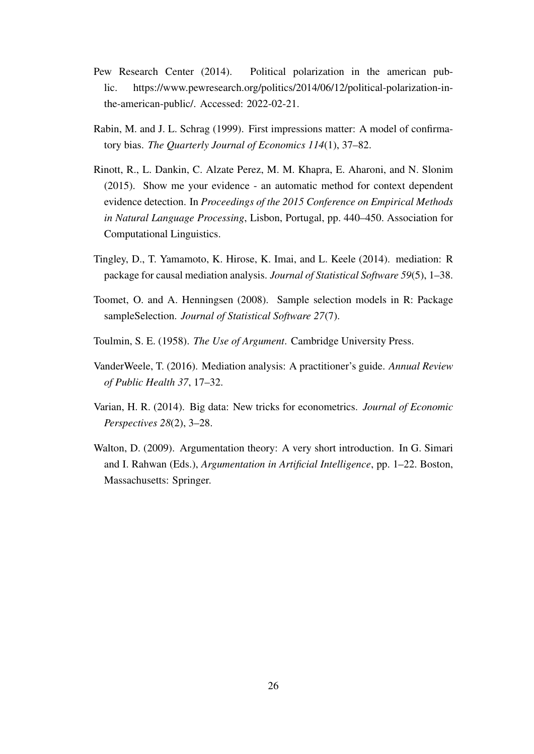- <span id="page-26-0"></span>Pew Research Center (2014). Political polarization in the american public. https://www.pewresearch.org/politics/2014/06/12/political-polarization-inthe-american-public/. Accessed: 2022-02-21.
- <span id="page-26-1"></span>Rabin, M. and J. L. Schrag (1999). First impressions matter: A model of confirmatory bias. *The Quarterly Journal of Economics 114*(1), 37–82.
- <span id="page-26-7"></span>Rinott, R., L. Dankin, C. Alzate Perez, M. M. Khapra, E. Aharoni, and N. Slonim (2015). Show me your evidence - an automatic method for context dependent evidence detection. In *Proceedings of the 2015 Conference on Empirical Methods in Natural Language Processing*, Lisbon, Portugal, pp. 440–450. Association for Computational Linguistics.
- <span id="page-26-5"></span>Tingley, D., T. Yamamoto, K. Hirose, K. Imai, and L. Keele (2014). mediation: R package for causal mediation analysis. *Journal of Statistical Software 59*(5), 1–38.
- <span id="page-26-6"></span>Toomet, O. and A. Henningsen (2008). Sample selection models in R: Package sampleSelection. *Journal of Statistical Software 27*(7).
- <span id="page-26-2"></span>Toulmin, S. E. (1958). *The Use of Argument*. Cambridge University Press.
- <span id="page-26-4"></span>VanderWeele, T. (2016). Mediation analysis: A practitioner's guide. *Annual Review of Public Health 37*, 17–32.
- <span id="page-26-8"></span>Varian, H. R. (2014). Big data: New tricks for econometrics. *Journal of Economic Perspectives 28*(2), 3–28.
- <span id="page-26-3"></span>Walton, D. (2009). Argumentation theory: A very short introduction. In G. Simari and I. Rahwan (Eds.), *Argumentation in Artificial Intelligence*, pp. 1–22. Boston, Massachusetts: Springer.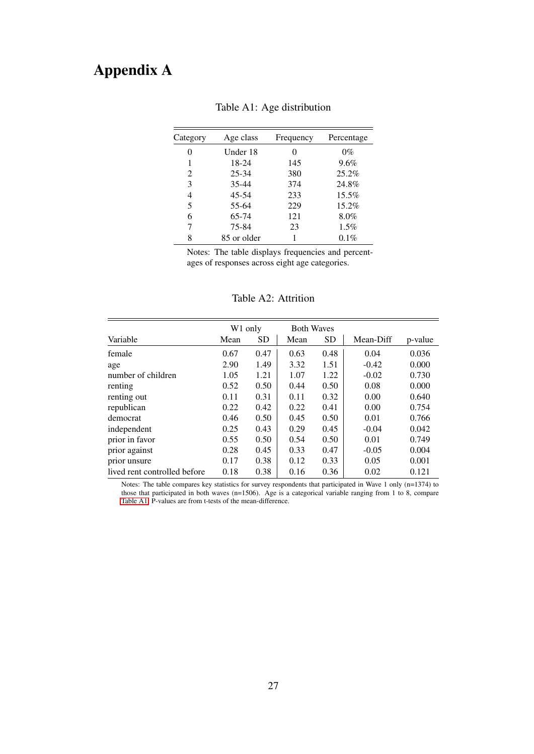# <span id="page-27-0"></span>Appendix A

| Category | Age class   | Frequency | Percentage |  |  |
|----------|-------------|-----------|------------|--|--|
| 0        | Under 18    | 0         | $0\%$      |  |  |
| 1        | 18-24       | 145       | 9.6%       |  |  |
| 2        | $25 - 34$   | 380       | 25.2%      |  |  |
| 3        | $35 - 44$   | 374       | 24.8%      |  |  |
| 4        | 45-54       | 233       | 15.5%      |  |  |
| 5        | 55-64       | 229       | $15.2\%$   |  |  |
| 6        | 65-74       | 121       | 8.0%       |  |  |
| 7        | 75-84       | 23        | $1.5\%$    |  |  |
| 8        | 85 or older |           | $0.1\%$    |  |  |

## Table A1: Age distribution

Notes: The table displays frequencies and percentages of responses across eight age categories.

|                              | W <sub>1</sub> only |           | <b>Both Waves</b> |           |           |         |
|------------------------------|---------------------|-----------|-------------------|-----------|-----------|---------|
| Variable                     | Mean                | <b>SD</b> | Mean              | <b>SD</b> | Mean-Diff | p-value |
| female                       | 0.67                | 0.47      | 0.63              | 0.48      | 0.04      | 0.036   |
| age                          | 2.90                | 1.49      | 3.32              | 1.51      | $-0.42$   | 0.000   |
| number of children           | 1.05                | 1.21      | 1.07              | 1.22      | $-0.02$   | 0.730   |
| renting                      | 0.52                | 0.50      | 0.44              | 0.50      | 0.08      | 0.000   |
| renting out                  | 0.11                | 0.31      | 0.11              | 0.32      | 0.00      | 0.640   |
| republican                   | 0.22                | 0.42      | 0.22              | 0.41      | 0.00      | 0.754   |
| democrat                     | 0.46                | 0.50      | 0.45              | 0.50      | 0.01      | 0.766   |
| independent                  | 0.25                | 0.43      | 0.29              | 0.45      | $-0.04$   | 0.042   |
| prior in favor               | 0.55                | 0.50      | 0.54              | 0.50      | 0.01      | 0.749   |
| prior against                | 0.28                | 0.45      | 0.33              | 0.47      | $-0.05$   | 0.004   |
| prior unsure                 | 0.17                | 0.38      | 0.12              | 0.33      | 0.05      | 0.001   |
| lived rent controlled before | 0.18                | 0.38      | 0.16              | 0.36      | 0.02      | 0.121   |

Table A2: Attrition

Notes: The table compares key statistics for survey respondents that participated in Wave 1 only (n=1374) to those that participated in both waves (n=1506). Age is a categorical variable ranging from 1 to 8, compare [Table A1.](#page-27-0) P-values are from t-tests of the mean-difference.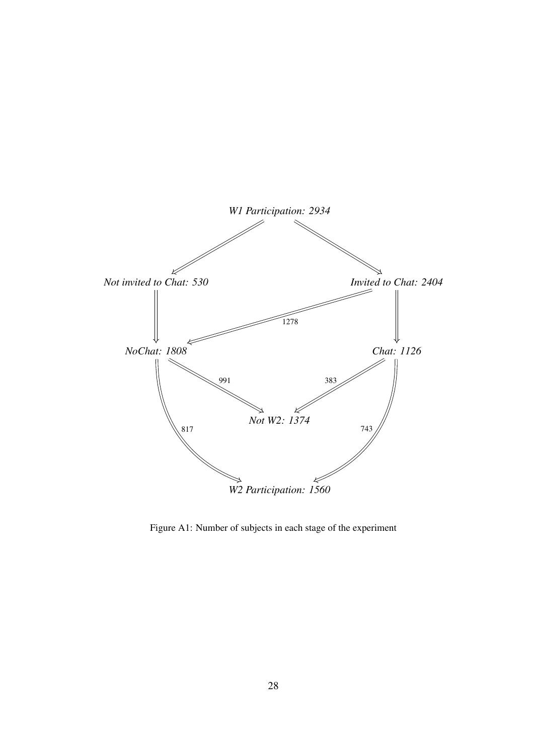<span id="page-28-0"></span>

Figure A1: Number of subjects in each stage of the experiment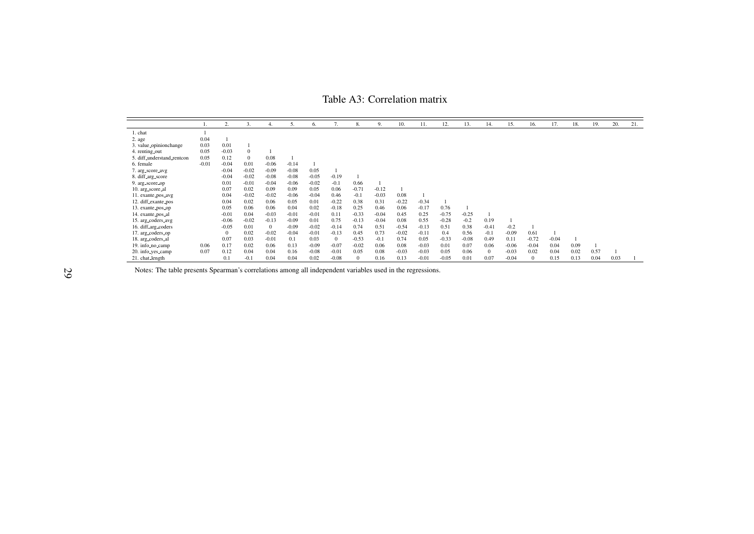<span id="page-29-0"></span>Table A3: Correlation matrix

|                            |         | 2.           | 3.           | 4.       | 5.      | 6.      | 7.           | 8.           | 9.      | 10.     | 11.     | 12.     | 13.     | 14.          | 15.     | 16.          | 17.     | 18.  | 19.  | 20.  | 21. |
|----------------------------|---------|--------------|--------------|----------|---------|---------|--------------|--------------|---------|---------|---------|---------|---------|--------------|---------|--------------|---------|------|------|------|-----|
| 1. chat                    |         |              |              |          |         |         |              |              |         |         |         |         |         |              |         |              |         |      |      |      |     |
| 2. age                     | 0.04    |              |              |          |         |         |              |              |         |         |         |         |         |              |         |              |         |      |      |      |     |
| 3. value_opinionchange     | 0.03    | 0.01         |              |          |         |         |              |              |         |         |         |         |         |              |         |              |         |      |      |      |     |
| 4. renting <sub>-out</sub> | 0.05    | $-0.03$      | $\mathbf{0}$ |          |         |         |              |              |         |         |         |         |         |              |         |              |         |      |      |      |     |
| 5. diff_understand_rentcon | 0.05    | 0.12         | $\theta$     | 0.08     |         |         |              |              |         |         |         |         |         |              |         |              |         |      |      |      |     |
| 6. female                  | $-0.01$ | $-0.04$      | 0.01         | $-0.06$  | $-0.14$ |         |              |              |         |         |         |         |         |              |         |              |         |      |      |      |     |
| 7. arg_score_avg           |         | $-0.04$      | $-0.02$      | $-0.09$  | $-0.08$ | 0.05    |              |              |         |         |         |         |         |              |         |              |         |      |      |      |     |
| 8. diff_arg_score          |         | $-0.04$      | $-0.02$      | $-0.08$  | $-0.08$ | $-0.05$ | $-0.19$      |              |         |         |         |         |         |              |         |              |         |      |      |      |     |
| 9. arg_score_op            |         | 0.01         | $-0.01$      | $-0.04$  | $-0.06$ | $-0.02$ | $-0.1$       | 0.66         |         |         |         |         |         |              |         |              |         |      |      |      |     |
| 10. arg_score_al           |         | 0.07         | 0.02         | 0.09     | 0.09    | 0.05    | 0.06         | $-0.71$      | $-0.12$ |         |         |         |         |              |         |              |         |      |      |      |     |
| 11. exante_pos_avg         |         | 0.04         | $-0.02$      | $-0.02$  | $-0.06$ | $-0.04$ | 0.46         | $-0.1$       | $-0.03$ | 0.08    |         |         |         |              |         |              |         |      |      |      |     |
| 12. diff_exante_pos        |         | 0.04         | 0.02         | 0.06     | 0.05    | 0.01    | $-0.22$      | 0.38         | 0.31    | $-0.22$ | $-0.34$ |         |         |              |         |              |         |      |      |      |     |
| 13. exante_pos_op          |         | 0.05         | 0.06         | 0.06     | 0.04    | 0.02    | $-0.18$      | 0.25         | 0.46    | 0.06    | $-0.17$ | 0.76    |         |              |         |              |         |      |      |      |     |
| 14. exante_pos_al          |         | $-0.01$      | 0.04         | $-0.03$  | $-0.01$ | $-0.01$ | 0.11         | $-0.33$      | $-0.04$ | 0.45    | 0.25    | $-0.75$ | $-0.25$ |              |         |              |         |      |      |      |     |
| 15. arg_coders_avg         |         | $-0.06$      | $-0.02$      | $-0.13$  | $-0.09$ | 0.01    | 0.75         | $-0.13$      | $-0.04$ | 0.08    | 0.55    | $-0.28$ | $-0.2$  | 0.19         |         |              |         |      |      |      |     |
| 16. diff_arg_coders        |         | $-0.05$      | 0.01         | $\Omega$ | $-0.09$ | $-0.02$ | $-0.14$      | 0.74         | 0.51    | $-0.54$ | $-0.13$ | 0.51    | 0.38    | $-0.41$      | $-0.2$  |              |         |      |      |      |     |
| 17. arg_coders_op          |         | $\mathbf{0}$ | 0.02         | $-0.02$  | $-0.04$ | $-0.01$ | $-0.13$      | 0.45         | 0.73    | $-0.02$ | $-0.11$ | 0.4     | 0.56    | $-0.1$       | $-0.09$ | 0.61         |         |      |      |      |     |
| 18. arg_coders_al          |         | 0.07         | 0.03         | $-0.01$  | 0.1     | 0.03    | $\mathbf{0}$ | $-0.53$      | $-0.1$  | 0.74    | 0.05    | $-0.33$ | $-0.08$ | 0.49         | 0.11    | $-0.72$      | $-0.04$ |      |      |      |     |
| 19. info_no_camp           | 0.06    | 0.17         | 0.02         | 0.06     | 0.13    | $-0.09$ | $-0.07$      | $-0.02$      | 0.06    | 0.08    | $-0.03$ | 0.01    | 0.07    | 0.06         | $-0.06$ | $-0.04$      | 0.04    | 0.09 |      |      |     |
| 20. info_yes_camp          | 0.07    | 0.12         | 0.04         | 0.04     | 0.16    | $-0.08$ | $-0.01$      | 0.05         | 0.08    | $-0.03$ | $-0.03$ | 0.05    | 0.06    | $\mathbf{0}$ | $-0.03$ | 0.02         | 0.04    | 0.02 | 0.57 |      |     |
| 21. chat_length            |         | 0.1          | $-0.1$       | 0.04     | 0.04    | 0.02    | $-0.08$      | $\mathbf{0}$ | 0.16    | 0.13    | $-0.01$ | $-0.05$ | 0.01    | 0.07         | $-0.04$ | $\mathbf{0}$ | 0.15    | 0.13 | 0.04 | 0.03 |     |

Notes: The table presents Spearman's correlations among all independent variables used in the regressions.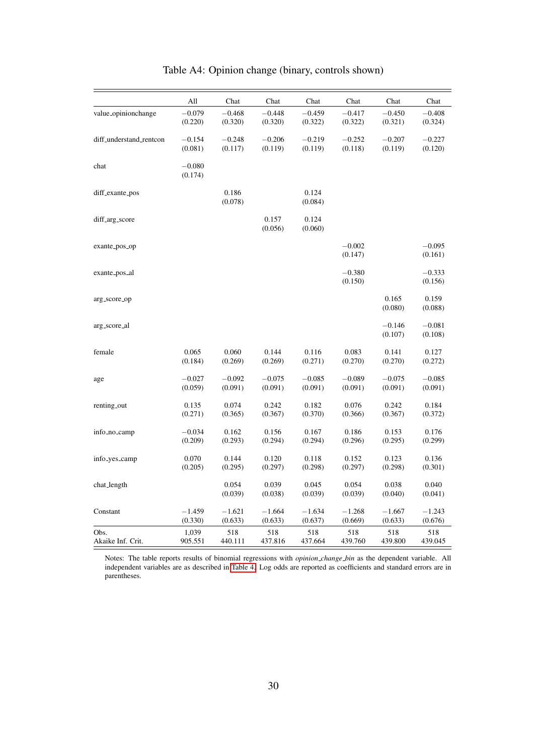<span id="page-30-0"></span>

|                         | All      | Chat     | Chat     | Chat     | Chat     | Chat     | Chat     |
|-------------------------|----------|----------|----------|----------|----------|----------|----------|
| value_opinionchange     | $-0.079$ | $-0.468$ | $-0.448$ | $-0.459$ | $-0.417$ | $-0.450$ | $-0.408$ |
|                         | (0.220)  | (0.320)  | (0.320)  | (0.322)  | (0.322)  | (0.321)  | (0.324)  |
| diff_understand_rentcon | $-0.154$ | $-0.248$ | $-0.206$ | $-0.219$ | $-0.252$ | $-0.207$ | $-0.227$ |
|                         | (0.081)  | (0.117)  | (0.119)  | (0.119)  | (0.118)  | (0.119)  | (0.120)  |
| chat                    | $-0.080$ |          |          |          |          |          |          |
|                         | (0.174)  |          |          |          |          |          |          |
| diff_exante_pos         |          | 0.186    |          | 0.124    |          |          |          |
|                         |          | (0.078)  |          | (0.084)  |          |          |          |
| diff_arg_score          |          |          | 0.157    | 0.124    |          |          |          |
|                         |          |          | (0.056)  | (0.060)  |          |          |          |
| exante_pos_op           |          |          |          |          | $-0.002$ |          | $-0.095$ |
|                         |          |          |          |          | (0.147)  |          | (0.161)  |
| exante_pos_al           |          |          |          |          | $-0.380$ |          | $-0.333$ |
|                         |          |          |          |          | (0.150)  |          | (0.156)  |
| arg_score_op            |          |          |          |          |          | 0.165    | 0.159    |
|                         |          |          |          |          |          | (0.080)  | (0.088)  |
| arg_score_al            |          |          |          |          |          | $-0.146$ | $-0.081$ |
|                         |          |          |          |          |          | (0.107)  | (0.108)  |
| female                  | 0.065    | 0.060    | 0.144    | 0.116    | 0.083    | 0.141    | 0.127    |
|                         | (0.184)  | (0.269)  | (0.269)  | (0.271)  | (0.270)  | (0.270)  | (0.272)  |
| age                     | $-0.027$ | $-0.092$ | $-0.075$ | $-0.085$ | $-0.089$ | $-0.075$ | $-0.085$ |
|                         | (0.059)  | (0.091)  | (0.091)  | (0.091)  | (0.091)  | (0.091)  | (0.091)  |
| renting_out             | 0.135    | 0.074    | 0.242    | 0.182    | 0.076    | 0.242    | 0.184    |
|                         | (0.271)  | (0.365)  | (0.367)  | (0.370)  | (0.366)  | (0.367)  | (0.372)  |
| info_no_camp            | $-0.034$ | 0.162    | 0.156    | 0.167    | 0.186    | 0.153    | 0.176    |
|                         | (0.209)  | (0.293)  | (0.294)  | (0.294)  | (0.296)  | (0.295)  | (0.299)  |
| info_yes_camp           | 0.070    | 0.144    | 0.120    | 0.118    | 0.152    | 0.123    | 0.136    |
|                         | (0.205)  | (0.295)  | (0.297)  | (0.298)  | (0.297)  | (0.298)  | (0.301)  |
| chat_length             |          | 0.054    | 0.039    | 0.045    | 0.054    | 0.038    | 0.040    |
|                         |          | (0.039)  | (0.038)  | (0.039)  | (0.039)  | (0.040)  | (0.041)  |
| Constant                | $-1.459$ | $-1.621$ | $-1.664$ | $-1.634$ | $-1.268$ | $-1.667$ | $-1.243$ |
|                         | (0.330)  | (0.633)  | (0.633)  | (0.637)  | (0.669)  | (0.633)  | (0.676)  |
| Obs.                    | 1,039    | 518      | 518      | 518      | 518      | 518      | 518      |
| Akaike Inf. Crit.       | 905.551  | 440.111  | 437.816  | 437.664  | 439.760  | 439.800  | 439.045  |

## Table A4: Opinion change (binary, controls shown)

Notes: The table reports results of binomial regressions with *opinion change bin* as the dependent variable. All independent variables are as described in [Table 4.](#page-13-0) Log odds are reported as coefficients and standard errors are in parentheses.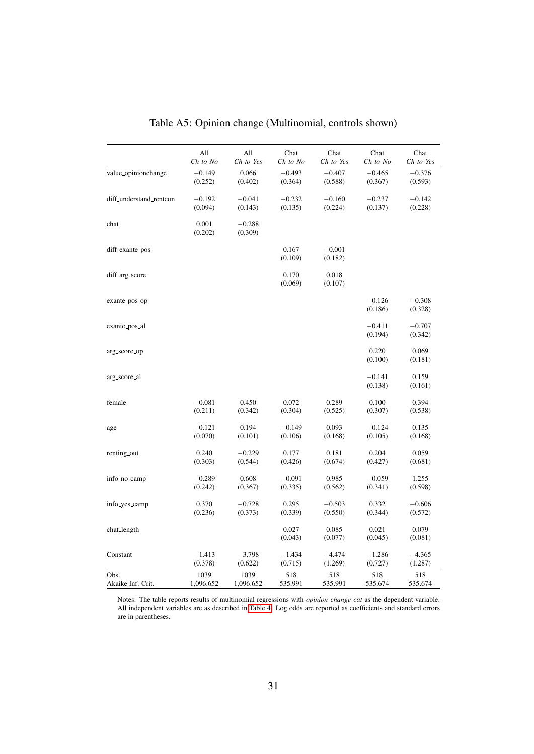|                         | All              | All                 | Chat             | Chat                | Chat                | Chat                |
|-------------------------|------------------|---------------------|------------------|---------------------|---------------------|---------------------|
|                         | $Ch\_to\_No$     | $Ch_to_Y$           | Ch_to_No         | Ch_to_Yes           | Ch_to_No            | $Ch\_to\_Yes$       |
| value_opinionchange     | $-0.149$         | 0.066               | $-0.493$         | $-0.407$            | $-0.465$            | $-0.376$            |
|                         | (0.252)          | (0.402)             | (0.364)          | (0.588)             | (0.367)             | (0.593)             |
| diff_understand_rentcon | $-0.192$         | $-0.041$            | $-0.232$         | $-0.160$            | $-0.237$            | $-0.142$            |
|                         | (0.094)          | (0.143)             | (0.135)          | (0.224)             | (0.137)             | (0.228)             |
| chat                    | 0.001<br>(0.202) | $-0.288$<br>(0.309) |                  |                     |                     |                     |
| diff_exante_pos         |                  |                     | 0.167<br>(0.109) | $-0.001$<br>(0.182) |                     |                     |
| diff_arg_score          |                  |                     | 0.170<br>(0.069) | 0.018<br>(0.107)    |                     |                     |
| exante_pos_op           |                  |                     |                  |                     | $-0.126$<br>(0.186) | $-0.308$<br>(0.328) |
| exante_pos_al           |                  |                     |                  |                     | $-0.411$<br>(0.194) | $-0.707$<br>(0.342) |
| arg_score_op            |                  |                     |                  |                     | 0.220<br>(0.100)    | 0.069<br>(0.181)    |
| arg_score_al            |                  |                     |                  |                     | $-0.141$<br>(0.138) | 0.159<br>(0.161)    |
| female                  | $-0.081$         | 0.450               | 0.072            | 0.289               | 0.100               | 0.394               |
|                         | (0.211)          | (0.342)             | (0.304)          | (0.525)             | (0.307)             | (0.538)             |
| age                     | $-0.121$         | 0.194               | $-0.149$         | 0.093               | $-0.124$            | 0.135               |
|                         | (0.070)          | (0.101)             | (0.106)          | (0.168)             | (0.105)             | (0.168)             |
| renting_out             | 0.240            | $-0.229$            | 0.177            | 0.181               | 0.204               | 0.059               |
|                         | (0.303)          | (0.544)             | (0.426)          | (0.674)             | (0.427)             | (0.681)             |
| info_no_camp            | $-0.289$         | 0.608               | $-0.091$         | 0.985               | $-0.059$            | 1.255               |
|                         | (0.242)          | (0.367)             | (0.335)          | (0.562)             | (0.341)             | (0.598)             |
| info_yes_camp           | 0.370            | $-0.728$            | 0.295            | $-0.503$            | 0.332               | $-0.606$            |
|                         | (0.236)          | (0.373)             | (0.339)          | (0.550)             | (0.344)             | (0.572)             |
| chat_length             |                  |                     | 0.027<br>(0.043) | 0.085<br>(0.077)    | 0.021<br>(0.045)    | 0.079<br>(0.081)    |
| Constant                | $-1.413$         | $-3.798$            | $-1.434$         | $-4.474$            | $-1.286$            | $-4.365$            |
|                         | (0.378)          | (0.622)             | (0.715)          | (1.269)             | (0.727)             | (1.287)             |
| Obs.                    | 1039             | 1039                | 518              | 518                 | 518                 | 518                 |
| Akaike Inf. Crit.       | 1,096.652        | 1,096.652           | 535.991          | 535.991             | 535.674             | 535.674             |

Table A5: Opinion change (Multinomial, controls shown)

Notes: The table reports results of multinomial regressions with *opinion change cat* as the dependent variable. All independent variables are as described in [Table 4.](#page-13-0) Log odds are reported as coefficients and standard errors are in parentheses.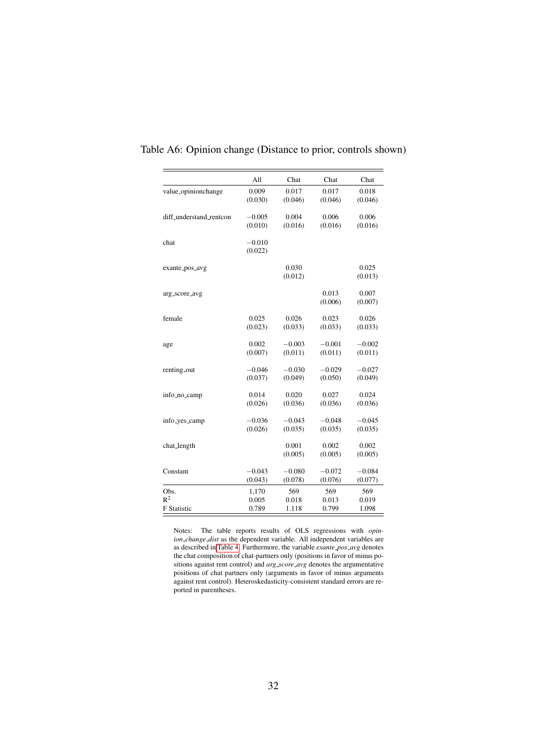|                           | All                 | Chat             | Chat             | Chat             |
|---------------------------|---------------------|------------------|------------------|------------------|
| value_opinionchange       | 0.009               | 0.017            | 0.017            | 0.018            |
|                           | (0.030)             | (0.046)          | (0.046)          | (0.046)          |
| diff_understand_rentcon   | $-0.005$            | 0.004            | 0.006            | 0.006            |
|                           | (0.010)             | (0.016)          | (0.016)          | (0.016)          |
| chat                      | $-0.010$<br>(0.022) |                  |                  |                  |
| exante_pos_avg            |                     | 0.030<br>(0.012) |                  | 0.025<br>(0.013) |
| arg_score_avg             |                     |                  | 0.013<br>(0.006) | 0.007<br>(0.007) |
| female                    | 0.025               | 0.026            | 0.023            | 0.026            |
|                           | (0.023)             | (0.033)          | (0.033)          | (0.033)          |
| age                       | 0.002               | $-0.003$         | $-0.001$         | $-0.002$         |
|                           | (0.007)             | (0.011)          | (0.011)          | (0.011)          |
| renting_out               | $-0.046$            | $-0.030$         | $-0.029$         | $-0.027$         |
|                           | (0.037)             | (0.049)          | (0.050)          | (0.049)          |
| info_no_camp              | 0.014               | 0.020            | 0.027            | 0.024            |
|                           | (0.026)             | (0.036)          | (0.036)          | (0.036)          |
| info <sub>-yes-camp</sub> | $-0.036$            | $-0.043$         | $-0.048$         | $-0.045$         |
|                           | (0.026)             | (0.035)          | (0.035)          | (0.035)          |
| chat_length               |                     | 0.001<br>(0.005) | 0.002<br>(0.005) | 0.002<br>(0.005) |
| Constant                  | $-0.043$            | $-0.080$         | $-0.072$         | $-0.084$         |
|                           | (0.043)             | (0.078)          | (0.076)          | (0.077)          |
| Obs.                      | 1,170               | 569              | 569              | 569              |
| $R^2$                     | 0.005               | 0.018            | 0.013            | 0.019            |
| <b>F</b> Statistic        | 0.789               | 1.118            | 0.799            | 1.098            |

### Table A6: Opinion change (Distance to prior, controls shown)

Notes: The table reports results of OLS regressions with *opinion change dist* as the dependent variable. All independent variables are as described in [Table 4.](#page-13-0) Furthermore, the variable *exante pos avg* denotes the chat composition of chat-partners only (positions in favor of minus positions against rent control) and *arg score avg* denotes the argumentative positions of chat partners only (arguments in favor of minus arguments against rent control). Heteroskedasticity-consistent standard errors are reported in parentheses.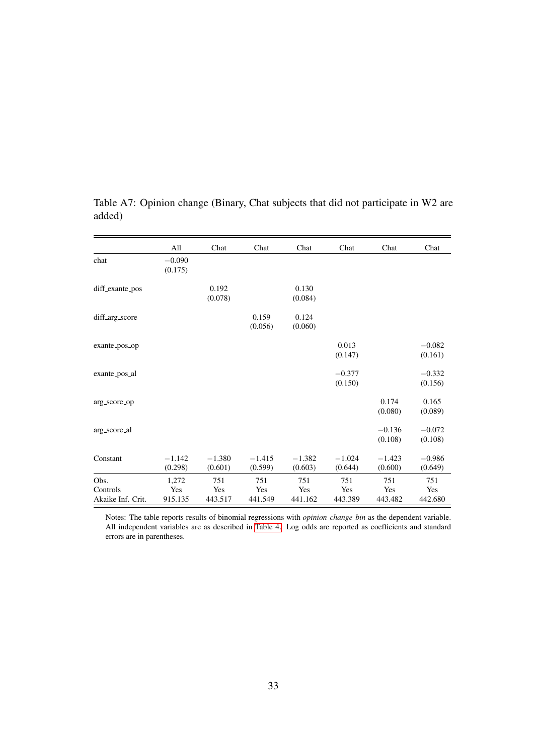|                                       | All                     | Chat                  | Chat                  | Chat                  | Chat                  | Chat                  | Chat                  |
|---------------------------------------|-------------------------|-----------------------|-----------------------|-----------------------|-----------------------|-----------------------|-----------------------|
| chat                                  | $-0.090$<br>(0.175)     |                       |                       |                       |                       |                       |                       |
| diff_exante_pos                       |                         | 0.192<br>(0.078)      |                       | 0.130<br>(0.084)      |                       |                       |                       |
| diff_arg_score                        |                         |                       | 0.159<br>(0.056)      | 0.124<br>(0.060)      |                       |                       |                       |
| exante_pos_op                         |                         |                       |                       |                       | 0.013<br>(0.147)      |                       | $-0.082$<br>(0.161)   |
| exante_pos_al                         |                         |                       |                       |                       | $-0.377$<br>(0.150)   |                       | $-0.332$<br>(0.156)   |
| arg_score_op                          |                         |                       |                       |                       |                       | 0.174<br>(0.080)      | 0.165<br>(0.089)      |
| arg_score_al                          |                         |                       |                       |                       |                       | $-0.136$<br>(0.108)   | $-0.072$<br>(0.108)   |
| Constant                              | $-1.142$<br>(0.298)     | $-1.380$<br>(0.601)   | $-1.415$<br>(0.599)   | $-1.382$<br>(0.603)   | $-1.024$<br>(0.644)   | $-1.423$<br>(0.600)   | $-0.986$<br>(0.649)   |
| Obs.<br>Controls<br>Akaike Inf. Crit. | 1,272<br>Yes<br>915.135 | 751<br>Yes<br>443.517 | 751<br>Yes<br>441.549 | 751<br>Yes<br>441.162 | 751<br>Yes<br>443.389 | 751<br>Yes<br>443.482 | 751<br>Yes<br>442.680 |

<span id="page-33-0"></span>Table A7: Opinion change (Binary, Chat subjects that did not participate in W2 are added)

Notes: The table reports results of binomial regressions with *opinion change bin* as the dependent variable. All independent variables are as described in [Table 4.](#page-13-0) Log odds are reported as coefficients and standard errors are in parentheses.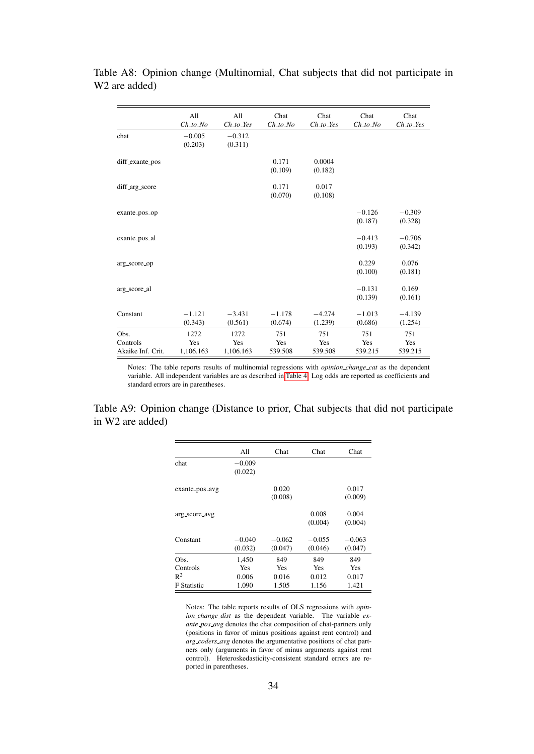|                               | All<br>$Ch\_to\_No$ | All<br>$Ch\_to\_Yes$ | Chat<br>$Ch\_to\_No$ | Chat<br>$Ch\_to\_Yes$ | Chat<br>$Ch\_to\_No$ | Chat<br>$Ch\_to\_Yes$ |
|-------------------------------|---------------------|----------------------|----------------------|-----------------------|----------------------|-----------------------|
| chat                          | $-0.005$<br>(0.203) | $-0.312$<br>(0.311)  |                      |                       |                      |                       |
| diff_exante_pos               |                     |                      | 0.171<br>(0.109)     | 0.0004<br>(0.182)     |                      |                       |
| diff_arg_score                |                     |                      | 0.171<br>(0.070)     | 0.017<br>(0.108)      |                      |                       |
| exante_pos_op                 |                     |                      |                      |                       | $-0.126$<br>(0.187)  | $-0.309$<br>(0.328)   |
| exante_pos_al                 |                     |                      |                      |                       | $-0.413$<br>(0.193)  | $-0.706$<br>(0.342)   |
| arg_score_op                  |                     |                      |                      |                       | 0.229<br>(0.100)     | 0.076<br>(0.181)      |
| arg_score_al                  |                     |                      |                      |                       | $-0.131$<br>(0.139)  | 0.169<br>(0.161)      |
| Constant                      | $-1.121$<br>(0.343) | $-3.431$<br>(0.561)  | $-1.178$<br>(0.674)  | $-4.274$<br>(1.239)   | $-1.013$<br>(0.686)  | $-4.139$<br>(1.254)   |
| Obs.                          | 1272                | 1272                 | 751                  | 751                   | 751                  | 751                   |
| Controls<br>Akaike Inf. Crit. | Yes<br>1,106.163    | Yes<br>1,106.163     | Yes<br>539.508       | Yes<br>539.508        | Yes<br>539.215       | Yes<br>539.215        |

Table A8: Opinion change (Multinomial, Chat subjects that did not participate in W2 are added)

Notes: The table reports results of multinomial regressions with *opinion change cat* as the dependent variable. All independent variables are as described in [Table 4.](#page-13-0) Log odds are reported as coefficients and standard errors are in parentheses.

<span id="page-34-0"></span>Table A9: Opinion change (Distance to prior, Chat subjects that did not participate in W2 are added)

|                    | All      | Chat     | Chat       | Chat     |
|--------------------|----------|----------|------------|----------|
| chat               | $-0.009$ |          |            |          |
|                    | (0.022)  |          |            |          |
| exante_pos_avg     |          | 0.020    |            | 0.017    |
|                    |          | (0.008)  |            | (0.009)  |
| arg_score_avg      |          |          | 0.008      | 0.004    |
|                    |          |          | (0.004)    | (0.004)  |
| Constant           | $-0.040$ | $-0.062$ | $-0.055$   | $-0.063$ |
|                    | (0.032)  | (0.047)  | (0.046)    | (0.047)  |
| Obs.               | 1,450    | 849      | 849        | 849      |
| Controls           | Yes      | Yes      | <b>Yes</b> | Yes      |
| $R^2$              | 0.006    | 0.016    | 0.012      | 0.017    |
| <b>F</b> Statistic | 1.090    | 1.505    | 1.156      | 1.421    |

Notes: The table reports results of OLS regressions with *opinion\_change\_dist* as the dependent variable. The variable *exante pos avg* denotes the chat composition of chat-partners only (positions in favor of minus positions against rent control) and *arg coders avg* denotes the argumentative positions of chat partners only (arguments in favor of minus arguments against rent control). Heteroskedasticity-consistent standard errors are reported in parentheses.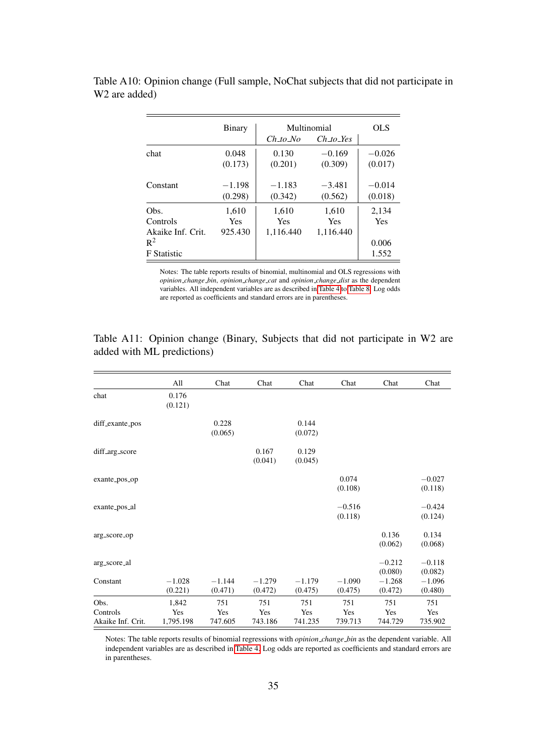|                    | Binary              |                     | Multinomial | OLS      |
|--------------------|---------------------|---------------------|-------------|----------|
|                    |                     | Ch to No            | Ch to Yes   |          |
| chat               | 0.048               | 0.130               | $-0.169$    | $-0.026$ |
|                    | (0.173)             | (0.201)             | (0.309)     | (0.017)  |
| Constant           | $-1.198$<br>(0.298) | $-1.183$<br>(0.342) | $-3.481$    | $-0.014$ |
|                    |                     |                     | (0.562)     | (0.018)  |
| Obs.               | 1,610               | 1,610               | 1,610       | 2,134    |
| Controls           | Yes                 | Yes                 | Yes         | Yes      |
| Akaike Inf. Crit.  | 925.430             | 1,116.440           | 1.116.440   |          |
| $R^2$              |                     |                     |             | 0.006    |
| <b>F</b> Statistic |                     |                     |             | 1.552    |

<span id="page-35-0"></span>Table A10: Opinion change (Full sample, NoChat subjects that did not participate in W2 are added)

> Notes: The table reports results of binomial, multinomial and OLS regressions with *opinion change bin*, *opinion change cat* and *opinion change dist* as the dependent variables. All independent variables are as described in [Table 4](#page-13-0) to [Table 8.](#page-18-0) Log odds are reported as coefficients and standard errors are in parentheses.

|                                       | All                       | Chat                  | Chat                  | Chat                  | Chat                  | Chat                  | Chat                  |
|---------------------------------------|---------------------------|-----------------------|-----------------------|-----------------------|-----------------------|-----------------------|-----------------------|
| chat                                  | 0.176<br>(0.121)          |                       |                       |                       |                       |                       |                       |
| diff_exante_pos                       |                           | 0.228<br>(0.065)      |                       | 0.144<br>(0.072)      |                       |                       |                       |
| diff_arg_score                        |                           |                       | 0.167<br>(0.041)      | 0.129<br>(0.045)      |                       |                       |                       |
| exante_pos_op                         |                           |                       |                       |                       | 0.074<br>(0.108)      |                       | $-0.027$<br>(0.118)   |
| exante_pos_al                         |                           |                       |                       |                       | $-0.516$<br>(0.118)   |                       | $-0.424$<br>(0.124)   |
| arg_score_op                          |                           |                       |                       |                       |                       | 0.136<br>(0.062)      | 0.134<br>(0.068)      |
| arg_score_al                          |                           |                       |                       |                       |                       | $-0.212$<br>(0.080)   | $-0.118$<br>(0.082)   |
| Constant                              | $-1.028$<br>(0.221)       | $-1.144$<br>(0.471)   | $-1.279$<br>(0.472)   | $-1.179$<br>(0.475)   | $-1.090$<br>(0.475)   | $-1.268$<br>(0.472)   | $-1.096$<br>(0.480)   |
| Obs.<br>Controls<br>Akaike Inf. Crit. | 1,842<br>Yes<br>1,795.198 | 751<br>Yes<br>747.605 | 751<br>Yes<br>743.186 | 751<br>Yes<br>741.235 | 751<br>Yes<br>739.713 | 751<br>Yes<br>744.729 | 751<br>Yes<br>735.902 |

<span id="page-35-1"></span>Table A11: Opinion change (Binary, Subjects that did not participate in W2 are added with ML predictions)

Notes: The table reports results of binomial regressions with *opinion change bin* as the dependent variable. All independent variables are as described in [Table 4.](#page-13-0) Log odds are reported as coefficients and standard errors are in parentheses.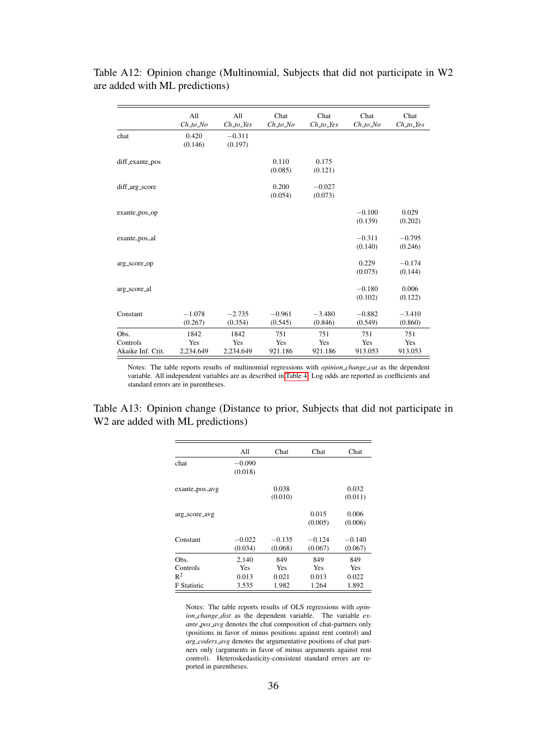|                                       | All<br>$Ch\_to\_No$      | All<br>$Ch\_to\_Yes$     | Chat<br>$Ch\_to\_No$  | Chat<br>$Ch\_to\_Yes$ | Chat<br>$Ch\_to\_No$  | Chat<br>$Ch\_to\_Yes$ |
|---------------------------------------|--------------------------|--------------------------|-----------------------|-----------------------|-----------------------|-----------------------|
| chat                                  | 0.420<br>(0.146)         | $-0.311$<br>(0.197)      |                       |                       |                       |                       |
| diff_exante_pos                       |                          |                          | 0.110<br>(0.085)      | 0.175<br>(0.121)      |                       |                       |
| diff_arg_score                        |                          |                          | 0.200<br>(0.054)      | $-0.027$<br>(0.073)   |                       |                       |
| exante_pos_op                         |                          |                          |                       |                       | $-0.100$<br>(0.139)   | 0.029<br>(0.202)      |
| exante_pos_al                         |                          |                          |                       |                       | $-0.311$<br>(0.140)   | $-0.795$<br>(0.246)   |
| arg_score_op                          |                          |                          |                       |                       | 0.229<br>(0.075)      | $-0.174$<br>(0.144)   |
| arg_score_al                          |                          |                          |                       |                       | $-0.180$<br>(0.102)   | 0.006<br>(0.122)      |
| Constant                              | $-1.078$<br>(0.267)      | $-2.735$<br>(0.354)      | $-0.961$<br>(0.545)   | $-3.480$<br>(0.846)   | $-0.882$<br>(0.549)   | $-3.410$<br>(0.860)   |
| Obs.<br>Controls<br>Akaike Inf. Crit. | 1842<br>Yes<br>2,234.649 | 1842<br>Yes<br>2,234.649 | 751<br>Yes<br>921.186 | 751<br>Yes<br>921.186 | 751<br>Yes<br>913.053 | 751<br>Yes<br>913.053 |

Table A12: Opinion change (Multinomial, Subjects that did not participate in W2 are added with ML predictions)

Notes: The table reports results of multinomial regressions with *opinion change cat* as the dependent variable. All independent variables are as described in [Table 4.](#page-13-0) Log odds are reported as coefficients and standard errors are in parentheses.

<span id="page-36-0"></span>Table A13: Opinion change (Distance to prior, Subjects that did not participate in W<sub>2</sub> are added with ML predictions)

|                    | All        | Chat     | Chat     | Chat       |
|--------------------|------------|----------|----------|------------|
| chat               | $-0.090$   |          |          |            |
|                    | (0.018)    |          |          |            |
| exante_pos_avg     |            | 0.038    |          | 0.032      |
|                    |            | (0.010)  |          | (0.011)    |
|                    |            |          |          |            |
| arg_score_avg      |            |          | 0.015    | 0.006      |
|                    |            |          | (0.005)  | (0.006)    |
| Constant           | $-0.022$   | $-0.135$ | $-0.124$ | $-0.140$   |
|                    | (0.034)    | (0.068)  | (0.067)  | (0.067)    |
| Obs.               | 2.140      | 849      | 849      | 849        |
| Controls           | <b>Yes</b> | Yes      | Yes      | <b>Yes</b> |
| $R^2$              | 0.013      | 0.021    | 0.013    | 0.022      |
| <b>F</b> Statistic | 3.535      | 1.982    | 1.264    | 1.892      |
|                    |            |          |          |            |

Notes: The table reports results of OLS regressions with *opinion\_change\_dist* as the dependent variable. The variable ex*ante pos avg* denotes the chat composition of chat-partners only (positions in favor of minus positions against rent control) and *arg coders avg* denotes the argumentative positions of chat partners only (arguments in favor of minus arguments against rent control). Heteroskedasticity-consistent standard errors are reported in parentheses.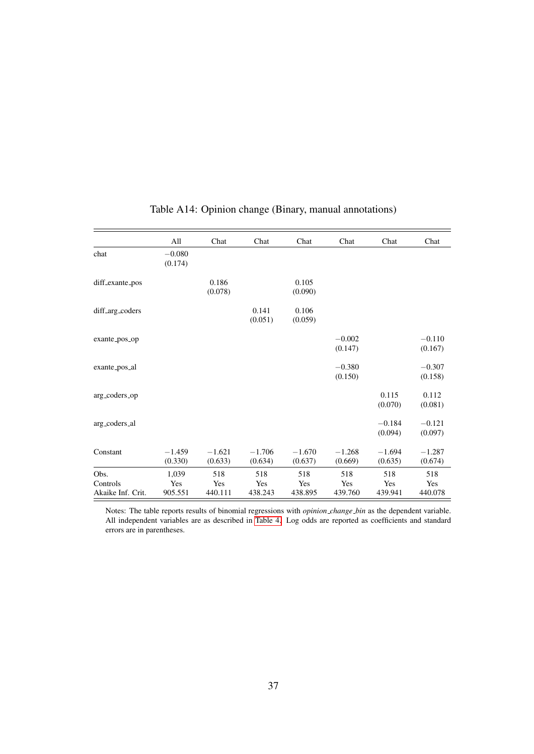<span id="page-37-0"></span>

|                                       | All                     | Chat                  | Chat                  | Chat                  | Chat                  | Chat                  | Chat                  |
|---------------------------------------|-------------------------|-----------------------|-----------------------|-----------------------|-----------------------|-----------------------|-----------------------|
| chat                                  | $-0.080$<br>(0.174)     |                       |                       |                       |                       |                       |                       |
| diff_exante_pos                       |                         | 0.186<br>(0.078)      |                       | 0.105<br>(0.090)      |                       |                       |                       |
| diff_arg_coders                       |                         |                       | 0.141<br>(0.051)      | 0.106<br>(0.059)      |                       |                       |                       |
| exante_pos_op                         |                         |                       |                       |                       | $-0.002$<br>(0.147)   |                       | $-0.110$<br>(0.167)   |
| exante_pos_al                         |                         |                       |                       |                       | $-0.380$<br>(0.150)   |                       | $-0.307$<br>(0.158)   |
| arg_coders_op                         |                         |                       |                       |                       |                       | 0.115<br>(0.070)      | 0.112<br>(0.081)      |
| arg_coders_al                         |                         |                       |                       |                       |                       | $-0.184$<br>(0.094)   | $-0.121$<br>(0.097)   |
| Constant                              | $-1.459$<br>(0.330)     | $-1.621$<br>(0.633)   | $-1.706$<br>(0.634)   | $-1.670$<br>(0.637)   | $-1.268$<br>(0.669)   | $-1.694$<br>(0.635)   | $-1.287$<br>(0.674)   |
| Obs.<br>Controls<br>Akaike Inf. Crit. | 1,039<br>Yes<br>905.551 | 518<br>Yes<br>440.111 | 518<br>Yes<br>438.243 | 518<br>Yes<br>438.895 | 518<br>Yes<br>439.760 | 518<br>Yes<br>439.941 | 518<br>Yes<br>440.078 |

# Table A14: Opinion change (Binary, manual annotations)

Notes: The table reports results of binomial regressions with *opinion change bin* as the dependent variable. All independent variables are as described in [Table 4.](#page-13-0) Log odds are reported as coefficients and standard errors are in parentheses.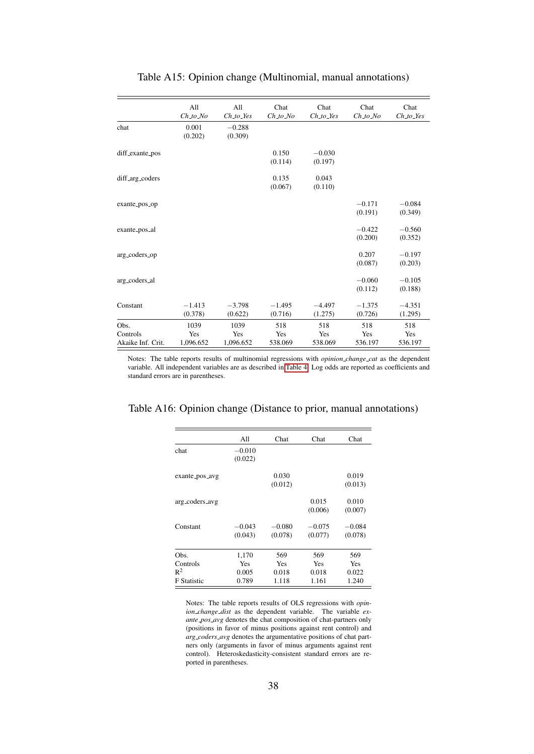|                                       | All<br>$Ch\_to\_No$      | All<br>$Ch\_to\_Yes$     | Chat<br>$Ch\_to\_No$  | Chat<br>$Ch_to_$      | Chat<br>$Ch_1$ to $No$ | Chat<br>$Ch_to_$      |
|---------------------------------------|--------------------------|--------------------------|-----------------------|-----------------------|------------------------|-----------------------|
| chat                                  | 0.001<br>(0.202)         | $-0.288$<br>(0.309)      |                       |                       |                        |                       |
| diff_exante_pos                       |                          |                          | 0.150<br>(0.114)      | $-0.030$<br>(0.197)   |                        |                       |
| diff_arg_coders                       |                          |                          | 0.135<br>(0.067)      | 0.043<br>(0.110)      |                        |                       |
| exante_pos_op                         |                          |                          |                       |                       | $-0.171$<br>(0.191)    | $-0.084$<br>(0.349)   |
| exante_pos_al                         |                          |                          |                       |                       | $-0.422$<br>(0.200)    | $-0.560$<br>(0.352)   |
| arg_coders_op                         |                          |                          |                       |                       | 0.207<br>(0.087)       | $-0.197$<br>(0.203)   |
| arg_coders_al                         |                          |                          |                       |                       | $-0.060$<br>(0.112)    | $-0.105$<br>(0.188)   |
| Constant                              | $-1.413$<br>(0.378)      | $-3.798$<br>(0.622)      | $-1.495$<br>(0.716)   | $-4.497$<br>(1.275)   | $-1.375$<br>(0.726)    | $-4.351$<br>(1.295)   |
| Obs.<br>Controls<br>Akaike Inf. Crit. | 1039<br>Yes<br>1,096.652 | 1039<br>Yes<br>1,096.652 | 518<br>Yes<br>538.069 | 518<br>Yes<br>538.069 | 518<br>Yes<br>536.197  | 518<br>Yes<br>536.197 |

### Table A15: Opinion change (Multinomial, manual annotations)

Notes: The table reports results of multinomial regressions with *opinion change cat* as the dependent variable. All independent variables are as described in [Table 4.](#page-13-0) Log odds are reported as coefficients and standard errors are in parentheses.

### <span id="page-38-0"></span>Table A16: Opinion change (Distance to prior, manual annotations)

|                    | All      | Chat     | Chat       | Chat       |
|--------------------|----------|----------|------------|------------|
| chat               | $-0.010$ |          |            |            |
|                    | (0.022)  |          |            |            |
| exante_pos_avg     |          | 0.030    |            | 0.019      |
|                    |          | (0.012)  |            | (0.013)    |
| arg_coders_avg     |          |          | 0.015      | 0.010      |
|                    |          |          | (0.006)    | (0.007)    |
| Constant           | $-0.043$ | $-0.080$ | $-0.075$   | $-0.084$   |
|                    | (0.043)  | (0.078)  | (0.077)    | (0.078)    |
| Obs.               | 1,170    | 569      | 569        | 569        |
| Controls           | Yes      | Yes      | <b>Yes</b> | <b>Yes</b> |
| $R^2$              | 0.005    | 0.018    | 0.018      | 0.022      |
| <b>F</b> Statistic | 0.789    | 1.118    | 1.161      | 1.240      |

Notes: The table reports results of OLS regressions with *opinion\_change\_dist* as the dependent variable. The variable ex*ante pos avg* denotes the chat composition of chat-partners only (positions in favor of minus positions against rent control) and *arg coders avg* denotes the argumentative positions of chat partners only (arguments in favor of minus arguments against rent control). Heteroskedasticity-consistent standard errors are reported in parentheses.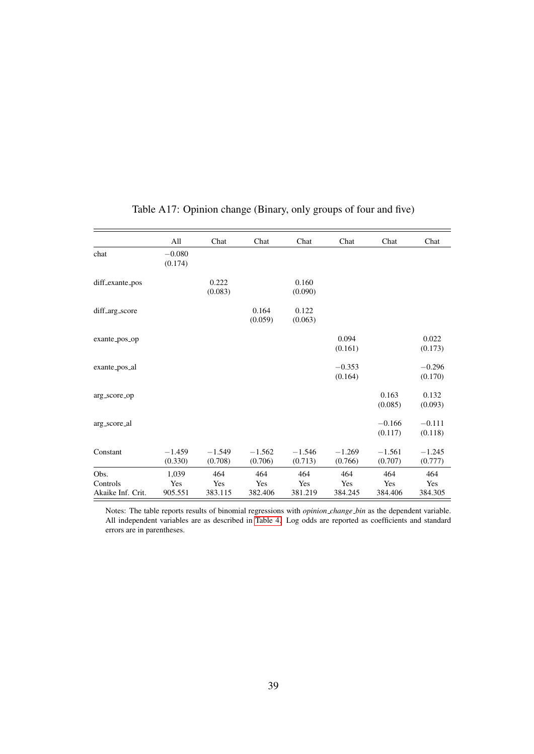<span id="page-39-0"></span>

|                   | All                 | Chat                | Chat                | Chat                | Chat                | Chat                | Chat                |
|-------------------|---------------------|---------------------|---------------------|---------------------|---------------------|---------------------|---------------------|
| chat              | $-0.080$<br>(0.174) |                     |                     |                     |                     |                     |                     |
| diff_exante_pos   |                     | 0.222<br>(0.083)    |                     | 0.160<br>(0.090)    |                     |                     |                     |
| diff_arg_score    |                     |                     | 0.164<br>(0.059)    | 0.122<br>(0.063)    |                     |                     |                     |
| exante_pos_op     |                     |                     |                     |                     | 0.094<br>(0.161)    |                     | 0.022<br>(0.173)    |
| exante_pos_al     |                     |                     |                     |                     | $-0.353$<br>(0.164) |                     | $-0.296$<br>(0.170) |
| arg_score_op      |                     |                     |                     |                     |                     | 0.163<br>(0.085)    | 0.132<br>(0.093)    |
| arg_score_al      |                     |                     |                     |                     |                     | $-0.166$<br>(0.117) | $-0.111$<br>(0.118) |
| Constant          | $-1.459$<br>(0.330) | $-1.549$<br>(0.708) | $-1.562$<br>(0.706) | $-1.546$<br>(0.713) | $-1.269$<br>(0.766) | $-1.561$<br>(0.707) | $-1.245$<br>(0.777) |
| Obs.<br>Controls  | 1,039<br>Yes        | 464<br>Yes          | 464<br>Yes          | 464<br>Yes          | 464<br>Yes          | 464<br>Yes          | 464<br>Yes          |
| Akaike Inf. Crit. | 905.551             | 383.115             | 382.406             | 381.219             | 384.245             | 384.406             | 384.305             |

## Table A17: Opinion change (Binary, only groups of four and five)

Notes: The table reports results of binomial regressions with *opinion change bin* as the dependent variable. All independent variables are as described in [Table 4.](#page-13-0) Log odds are reported as coefficients and standard errors are in parentheses.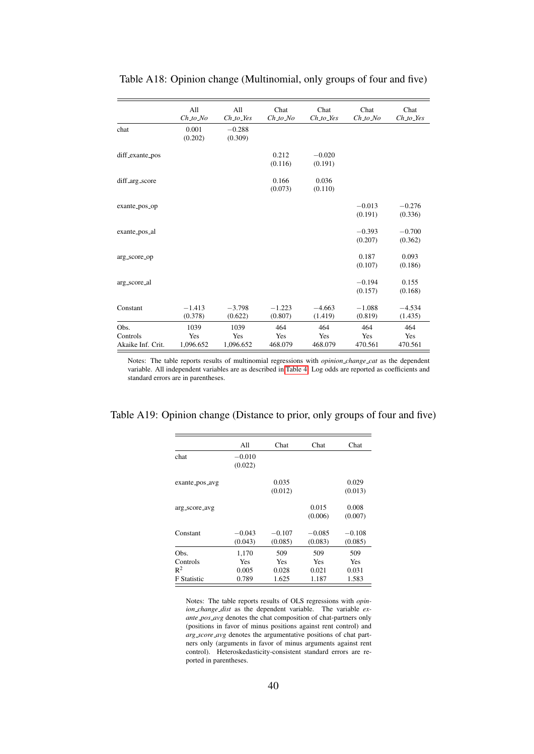|                                       | All<br>$Ch\_to\_No$      | All<br>$Ch\_to\_Yes$     | Chat<br>$Ch\_to\_No$  | Chat<br>$Ch_to_$      | Chat<br>$Ch_1$ to $No$ | Chat<br>$Ch_to_$      |
|---------------------------------------|--------------------------|--------------------------|-----------------------|-----------------------|------------------------|-----------------------|
| chat                                  | 0.001<br>(0.202)         | $-0.288$<br>(0.309)      |                       |                       |                        |                       |
| diff_exante_pos                       |                          |                          | 0.212<br>(0.116)      | $-0.020$<br>(0.191)   |                        |                       |
| diff_arg_score                        |                          |                          | 0.166<br>(0.073)      | 0.036<br>(0.110)      |                        |                       |
| exante_pos_op                         |                          |                          |                       |                       | $-0.013$<br>(0.191)    | $-0.276$<br>(0.336)   |
| exante_pos_al                         |                          |                          |                       |                       | $-0.393$<br>(0.207)    | $-0.700$<br>(0.362)   |
| arg_score_op                          |                          |                          |                       |                       | 0.187<br>(0.107)       | 0.093<br>(0.186)      |
| arg_score_al                          |                          |                          |                       |                       | $-0.194$<br>(0.157)    | 0.155<br>(0.168)      |
| Constant                              | $-1.413$<br>(0.378)      | $-3.798$<br>(0.622)      | $-1.223$<br>(0.807)   | $-4.663$<br>(1.419)   | $-1.088$<br>(0.819)    | $-4.534$<br>(1.435)   |
| Obs.<br>Controls<br>Akaike Inf. Crit. | 1039<br>Yes<br>1,096.652 | 1039<br>Yes<br>1,096.652 | 464<br>Yes<br>468.079 | 464<br>Yes<br>468.079 | 464<br>Yes<br>470.561  | 464<br>Yes<br>470.561 |

Table A18: Opinion change (Multinomial, only groups of four and five)

Notes: The table reports results of multinomial regressions with *opinion change cat* as the dependent variable. All independent variables are as described in [Table 4.](#page-13-0) Log odds are reported as coefficients and standard errors are in parentheses.

<span id="page-40-0"></span>

| Table A19: Opinion change (Distance to prior, only groups of four and five) |  |  |  |  |  |
|-----------------------------------------------------------------------------|--|--|--|--|--|
|-----------------------------------------------------------------------------|--|--|--|--|--|

|                    | All      | Chat     | Chat       | Chat     |
|--------------------|----------|----------|------------|----------|
| chat               | $-0.010$ |          |            |          |
|                    | (0.022)  |          |            |          |
| exante_pos_avg     |          | 0.035    |            | 0.029    |
|                    |          | (0.012)  |            | (0.013)  |
|                    |          |          |            |          |
| arg_score_avg      |          |          | 0.015      | 0.008    |
|                    |          |          | (0.006)    | (0.007)  |
| Constant           | $-0.043$ | $-0.107$ | $-0.085$   | $-0.108$ |
|                    |          |          |            |          |
|                    | (0.043)  | (0.085)  | (0.083)    | (0.085)  |
| Obs.               | 1,170    | 509      | 509        | 509      |
| Controls           | Yes      | Yes      | <b>Yes</b> | Yes      |
| $R^2$              | 0.005    | 0.028    | 0.021      | 0.031    |
| <b>F</b> Statistic | 0.789    | 1.625    | 1.187      | 1.583    |
|                    |          |          |            |          |

Notes: The table reports results of OLS regressions with *opinion change dist* as the dependent variable. The variable *exante pos avg* denotes the chat composition of chat-partners only (positions in favor of minus positions against rent control) and *arg score avg* denotes the argumentative positions of chat partners only (arguments in favor of minus arguments against rent control). Heteroskedasticity-consistent standard errors are reported in parentheses.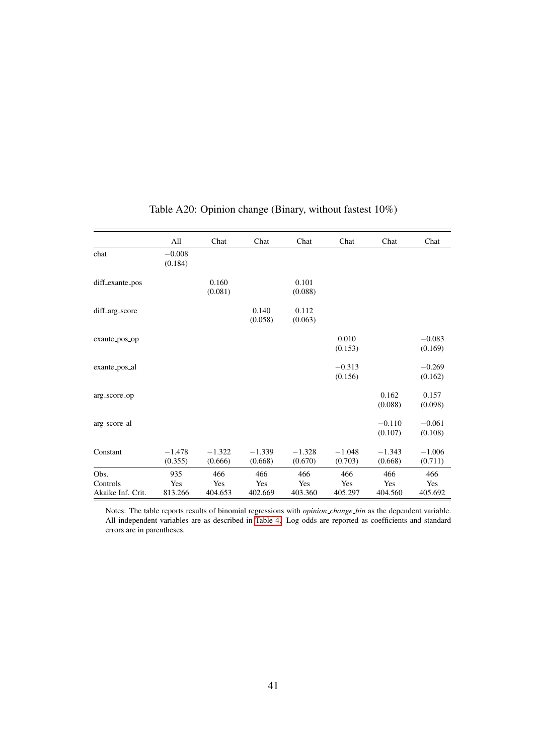<span id="page-41-0"></span>

|                   | All                 | Chat                | Chat                | Chat                | Chat                | Chat                | Chat                |
|-------------------|---------------------|---------------------|---------------------|---------------------|---------------------|---------------------|---------------------|
| chat              | $-0.008$<br>(0.184) |                     |                     |                     |                     |                     |                     |
| diff_exante_pos   |                     | 0.160<br>(0.081)    |                     | 0.101<br>(0.088)    |                     |                     |                     |
| diff_arg_score    |                     |                     | 0.140<br>(0.058)    | 0.112<br>(0.063)    |                     |                     |                     |
| exante_pos_op     |                     |                     |                     |                     | 0.010<br>(0.153)    |                     | $-0.083$<br>(0.169) |
| exante_pos_al     |                     |                     |                     |                     | $-0.313$<br>(0.156) |                     | $-0.269$<br>(0.162) |
| arg_score_op      |                     |                     |                     |                     |                     | 0.162<br>(0.088)    | 0.157<br>(0.098)    |
| arg_score_al      |                     |                     |                     |                     |                     | $-0.110$<br>(0.107) | $-0.061$<br>(0.108) |
| Constant          | $-1.478$<br>(0.355) | $-1.322$<br>(0.666) | $-1.339$<br>(0.668) | $-1.328$<br>(0.670) | $-1.048$<br>(0.703) | $-1.343$<br>(0.668) | $-1.006$<br>(0.711) |
| Obs.              | 935                 | 466                 | 466                 | 466                 | 466                 | 466                 | 466                 |
| Controls          | Yes                 | Yes                 | Yes                 | Yes                 | Yes                 | Yes                 | Yes                 |
| Akaike Inf. Crit. | 813.266             | 404.653             | 402.669             | 403.360             | 405.297             | 404.560             | 405.692             |

## Table A20: Opinion change (Binary, without fastest 10%)

Notes: The table reports results of binomial regressions with *opinion change bin* as the dependent variable. All independent variables are as described in [Table 4.](#page-13-0) Log odds are reported as coefficients and standard errors are in parentheses.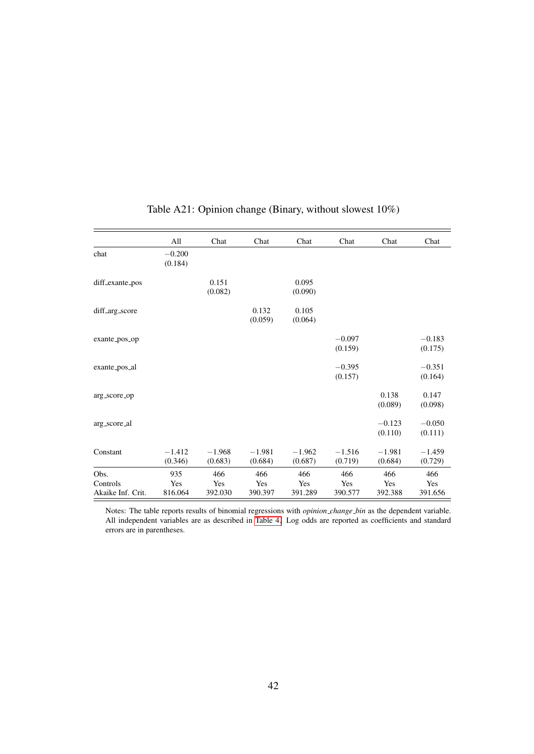|                   | All                 | Chat                | Chat                | Chat                | Chat                | Chat                | Chat                |
|-------------------|---------------------|---------------------|---------------------|---------------------|---------------------|---------------------|---------------------|
| chat              | $-0.200$<br>(0.184) |                     |                     |                     |                     |                     |                     |
| diff_exante_pos   |                     | 0.151<br>(0.082)    |                     | 0.095<br>(0.090)    |                     |                     |                     |
| diff_arg_score    |                     |                     | 0.132<br>(0.059)    | 0.105<br>(0.064)    |                     |                     |                     |
| exante_pos_op     |                     |                     |                     |                     | $-0.097$<br>(0.159) |                     | $-0.183$<br>(0.175) |
| exante_pos_al     |                     |                     |                     |                     | $-0.395$<br>(0.157) |                     | $-0.351$<br>(0.164) |
| arg_score_op      |                     |                     |                     |                     |                     | 0.138<br>(0.089)    | 0.147<br>(0.098)    |
| arg_score_al      |                     |                     |                     |                     |                     | $-0.123$<br>(0.110) | $-0.050$<br>(0.111) |
| Constant          | $-1.412$<br>(0.346) | $-1.968$<br>(0.683) | $-1.981$<br>(0.684) | $-1.962$<br>(0.687) | $-1.516$<br>(0.719) | $-1.981$<br>(0.684) | $-1.459$<br>(0.729) |
| Obs.<br>Controls  | 935<br>Yes          | 466<br>Yes          | 466<br>Yes          | 466<br>Yes          | 466<br>Yes          | 466<br>Yes          | 466<br>Yes          |
| Akaike Inf. Crit. | 816.064             | 392.030             | 390.397             | 391.289             | 390.577             | 392.388             | 391.656             |

## Table A21: Opinion change (Binary, without slowest 10%)

Notes: The table reports results of binomial regressions with *opinion change bin* as the dependent variable. All independent variables are as described in [Table 4.](#page-13-0) Log odds are reported as coefficients and standard errors are in parentheses.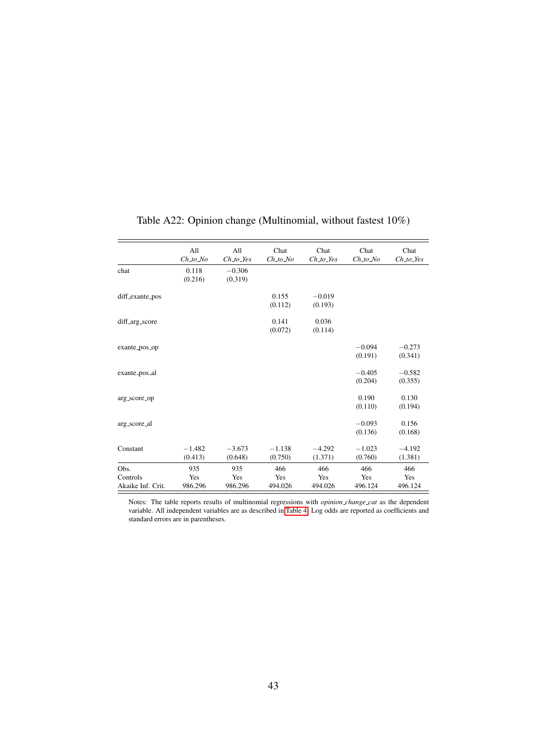|                                       | All<br>$Ch\_to\_No$   | All<br>$Ch\_to\_Yes$  | Chat<br>$Ch\_to\_No$  | Chat<br>$Ch_to_Y$     | Chat<br>$Ch\_to\_No$  | Chat<br>$Ch\_to\_Yes$ |
|---------------------------------------|-----------------------|-----------------------|-----------------------|-----------------------|-----------------------|-----------------------|
| chat                                  | 0.118<br>(0.216)      | $-0.306$<br>(0.319)   |                       |                       |                       |                       |
| diff_exante_pos                       |                       |                       | 0.155<br>(0.112)      | $-0.019$<br>(0.193)   |                       |                       |
| diff_arg_score                        |                       |                       | 0.141<br>(0.072)      | 0.036<br>(0.114)      |                       |                       |
| exante_pos_op                         |                       |                       |                       |                       | $-0.094$<br>(0.191)   | $-0.273$<br>(0.341)   |
| exante_pos_al                         |                       |                       |                       |                       | $-0.405$<br>(0.204)   | $-0.582$<br>(0.355)   |
| arg_score_op                          |                       |                       |                       |                       | 0.190<br>(0.110)      | 0.130<br>(0.194)      |
| arg_score_al                          |                       |                       |                       |                       | $-0.093$<br>(0.136)   | 0.156<br>(0.168)      |
| Constant                              | $-1.482$<br>(0.413)   | $-3.673$<br>(0.648)   | $-1.138$<br>(0.750)   | $-4.292$<br>(1.371)   | $-1.023$<br>(0.760)   | $-4.192$<br>(1.381)   |
| Obs.<br>Controls<br>Akaike Inf. Crit. | 935<br>Yes<br>986.296 | 935<br>Yes<br>986.296 | 466<br>Yes<br>494.026 | 466<br>Yes<br>494.026 | 466<br>Yes<br>496.124 | 466<br>Yes<br>496.124 |

## Table A22: Opinion change (Multinomial, without fastest 10%)

L.

Notes: The table reports results of multinomial regressions with *opinion change cat* as the dependent variable. All independent variables are as described in [Table 4.](#page-13-0) Log odds are reported as coefficients and standard errors are in parentheses.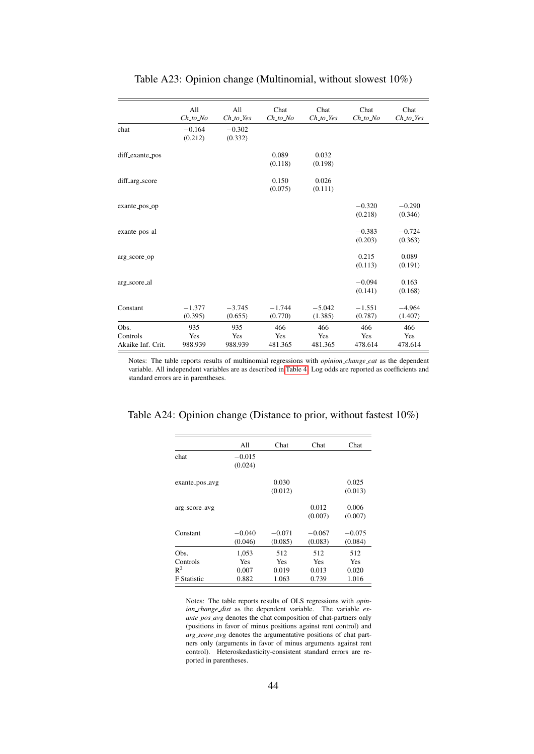|                                       | All<br>$Ch\_to$ No    | All<br>$Ch_to_$       | Chat<br>$Ch\_to$ No   | Chat<br>$Ch_to_$      | Chat<br>$Ch\_to$ No   | Chat<br>$Ch\_to\_Yes$ |
|---------------------------------------|-----------------------|-----------------------|-----------------------|-----------------------|-----------------------|-----------------------|
| chat                                  | $-0.164$<br>(0.212)   | $-0.302$<br>(0.332)   |                       |                       |                       |                       |
| diff_exante_pos                       |                       |                       | 0.089<br>(0.118)      | 0.032<br>(0.198)      |                       |                       |
| diff_arg_score                        |                       |                       | 0.150<br>(0.075)      | 0.026<br>(0.111)      |                       |                       |
| exante_pos_op                         |                       |                       |                       |                       | $-0.320$<br>(0.218)   | $-0.290$<br>(0.346)   |
| exante_pos_al                         |                       |                       |                       |                       | $-0.383$<br>(0.203)   | $-0.724$<br>(0.363)   |
| arg_score_op                          |                       |                       |                       |                       | 0.215<br>(0.113)      | 0.089<br>(0.191)      |
| arg_score_al                          |                       |                       |                       |                       | $-0.094$<br>(0.141)   | 0.163<br>(0.168)      |
| Constant                              | $-1.377$<br>(0.395)   | $-3.745$<br>(0.655)   | $-1.744$<br>(0.770)   | $-5.042$<br>(1.385)   | $-1.551$<br>(0.787)   | $-4.964$<br>(1.407)   |
| Obs.<br>Controls<br>Akaike Inf. Crit. | 935<br>Yes<br>988.939 | 935<br>Yes<br>988.939 | 466<br>Yes<br>481.365 | 466<br>Yes<br>481.365 | 466<br>Yes<br>478.614 | 466<br>Yes<br>478.614 |

### Table A23: Opinion change (Multinomial, without slowest 10%)

Notes: The table reports results of multinomial regressions with *opinion change cat* as the dependent variable. All independent variables are as described in [Table 4.](#page-13-0) Log odds are reported as coefficients and standard errors are in parentheses.

| Table A24: Opinion change (Distance to prior, without fastest $10\%)$ |  |  |  |  |  |  |
|-----------------------------------------------------------------------|--|--|--|--|--|--|
|-----------------------------------------------------------------------|--|--|--|--|--|--|

| Chat<br>0.030 | Chat     | Chat                                |
|---------------|----------|-------------------------------------|
|               |          |                                     |
|               |          |                                     |
|               |          |                                     |
|               |          | 0.025                               |
| (0.012)       |          | (0.013)                             |
|               |          | 0.006                               |
|               | (0.007)  | (0.007)                             |
|               |          | $-0.075$                            |
| (0.085)       | (0.083)  | (0.084)                             |
| 512           | 512      | 512                                 |
| <b>Yes</b>    | Yes      | <b>Yes</b>                          |
| 0.019         | 0.013    | 0.020                               |
|               |          | 1.016                               |
|               | $-0.071$ | 0.012<br>$-0.067$<br>1.063<br>0.739 |

Notes: The table reports results of OLS regressions with *opinion change dist* as the dependent variable. The variable *exante pos avg* denotes the chat composition of chat-partners only (positions in favor of minus positions against rent control) and *arg score avg* denotes the argumentative positions of chat partners only (arguments in favor of minus arguments against rent control). Heteroskedasticity-consistent standard errors are reported in parentheses.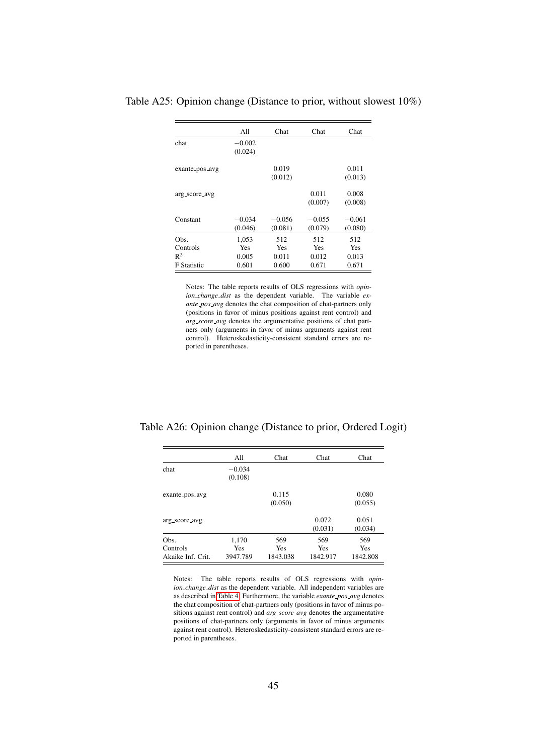|                    | A11                 | Chat                | Chat                | Chat                |
|--------------------|---------------------|---------------------|---------------------|---------------------|
| chat               | $-0.002$<br>(0.024) |                     |                     |                     |
| exante_pos_avg     |                     | 0.019<br>(0.012)    |                     | 0.011<br>(0.013)    |
| arg_score_avg      |                     |                     | 0.011<br>(0.007)    | 0.008<br>(0.008)    |
| Constant           | $-0.034$<br>(0.046) | $-0.056$<br>(0.081) | $-0.055$<br>(0.079) | $-0.061$<br>(0.080) |
| Obs.               | 1,053               | 512                 | 512                 | 512                 |
| Controls           | Yes                 | Yes                 | <b>Yes</b>          | Yes                 |
| $R^2$              | 0.005               | 0.011               | 0.012               | 0.013               |
| <b>F</b> Statistic | 0.601               | 0.600               | 0.671               | 0.671               |

<span id="page-45-0"></span>Table A25: Opinion change (Distance to prior, without slowest 10%)

Notes: The table reports results of OLS regressions with *opinion change dist* as the dependent variable. The variable *exante pos avg* denotes the chat composition of chat-partners only (positions in favor of minus positions against rent control) and *arg score avg* denotes the argumentative positions of chat partners only (arguments in favor of minus arguments against rent control). Heteroskedasticity-consistent standard errors are reported in parentheses.

<span id="page-45-1"></span>Table A26: Opinion change (Distance to prior, Ordered Logit)

|                   | A11                 | Chat             | Chat             | Chat             |
|-------------------|---------------------|------------------|------------------|------------------|
| chat              | $-0.034$<br>(0.108) |                  |                  |                  |
| exante_pos_avg    |                     | 0.115<br>(0.050) |                  | 0.080<br>(0.055) |
| arg_score_avg     |                     |                  | 0.072<br>(0.031) | 0.051<br>(0.034) |
| Obs.              | 1,170               | 569              | 569              | 569              |
| Controls          | Yes                 | <b>Yes</b>       | Yes              | Yes              |
| Akaike Inf. Crit. | 3947.789            | 1843.038         | 1842.917         | 1842.808         |

Notes: The table reports results of OLS regressions with *opinion change dist* as the dependent variable. All independent variables are as described in [Table 4.](#page-13-0) Furthermore, the variable *exante pos avg* denotes the chat composition of chat-partners only (positions in favor of minus positions against rent control) and *arg score avg* denotes the argumentative positions of chat-partners only (arguments in favor of minus arguments against rent control). Heteroskedasticity-consistent standard errors are reported in parentheses.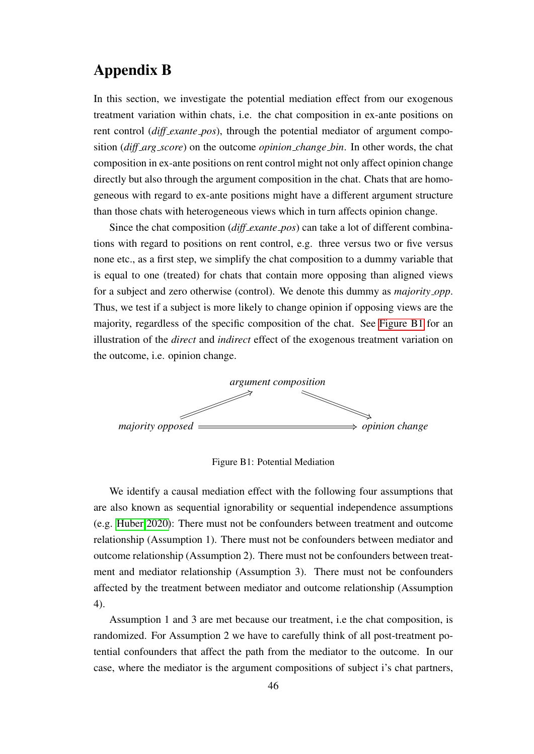# <span id="page-46-0"></span>Appendix B

In this section, we investigate the potential mediation effect from our exogenous treatment variation within chats, i.e. the chat composition in ex-ante positions on rent control (*diff exante pos*), through the potential mediator of argument composition (*diff arg score*) on the outcome *opinion change bin*. In other words, the chat composition in ex-ante positions on rent control might not only affect opinion change directly but also through the argument composition in the chat. Chats that are homogeneous with regard to ex-ante positions might have a different argument structure than those chats with heterogeneous views which in turn affects opinion change.

Since the chat composition (*diff exante pos*) can take a lot of different combinations with regard to positions on rent control, e.g. three versus two or five versus none etc., as a first step, we simplify the chat composition to a dummy variable that is equal to one (treated) for chats that contain more opposing than aligned views for a subject and zero otherwise (control). We denote this dummy as *majority opp*. Thus, we test if a subject is more likely to change opinion if opposing views are the majority, regardless of the specific composition of the chat. See [Figure B1](#page-46-1) for an illustration of the *direct* and *indirect* effect of the exogenous treatment variation on the outcome, i.e. opinion change.

<span id="page-46-1"></span>

Figure B1: Potential Mediation

We identify a causal mediation effect with the following four assumptions that are also known as sequential ignorability or sequential independence assumptions (e.g. [Huber 2020\)](#page-24-10): There must not be confounders between treatment and outcome relationship (Assumption 1). There must not be confounders between mediator and outcome relationship (Assumption 2). There must not be confounders between treatment and mediator relationship (Assumption 3). There must not be confounders affected by the treatment between mediator and outcome relationship (Assumption 4).

Assumption 1 and 3 are met because our treatment, i.e the chat composition, is randomized. For Assumption 2 we have to carefully think of all post-treatment potential confounders that affect the path from the mediator to the outcome. In our case, where the mediator is the argument compositions of subject i's chat partners,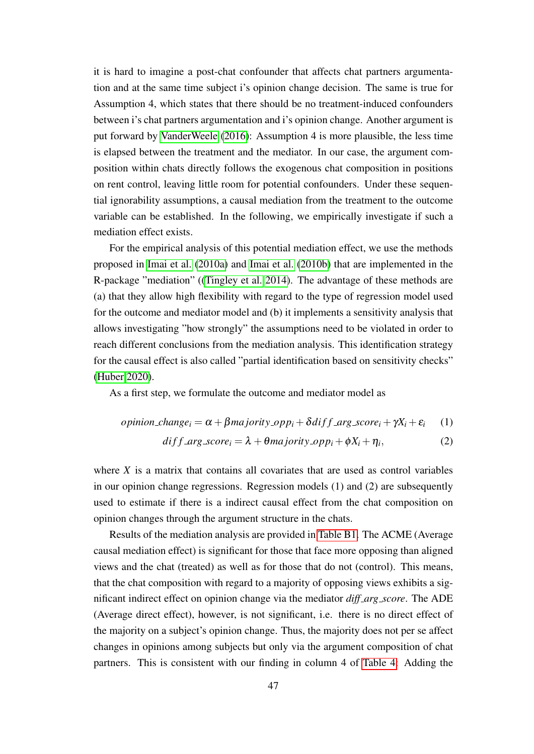it is hard to imagine a post-chat confounder that affects chat partners argumentation and at the same time subject i's opinion change decision. The same is true for Assumption 4, which states that there should be no treatment-induced confounders between i's chat partners argumentation and i's opinion change. Another argument is put forward by [VanderWeele](#page-26-4) [\(2016\)](#page-26-4): Assumption 4 is more plausible, the less time is elapsed between the treatment and the mediator. In our case, the argument composition within chats directly follows the exogenous chat composition in positions on rent control, leaving little room for potential confounders. Under these sequential ignorability assumptions, a causal mediation from the treatment to the outcome variable can be established. In the following, we empirically investigate if such a mediation effect exists.

For the empirical analysis of this potential mediation effect, we use the methods proposed in [Imai et al.](#page-25-11) [\(2010a\)](#page-25-11) and [Imai et al.](#page-25-12) [\(2010b\)](#page-25-12) that are implemented in the R-package "mediation" ([\(Tingley et al. 2014\)](#page-26-5). The advantage of these methods are (a) that they allow high flexibility with regard to the type of regression model used for the outcome and mediator model and (b) it implements a sensitivity analysis that allows investigating "how strongly" the assumptions need to be violated in order to reach different conclusions from the mediation analysis. This identification strategy for the causal effect is also called "partial identification based on sensitivity checks" [\(Huber 2020\)](#page-24-10).

As a first step, we formulate the outcome and mediator model as

*opinion-change<sub>i</sub>* = 
$$
\alpha + \beta
$$
*majority.opp<sub>i</sub>* +  $\delta$ *diff.arg.score<sub>i</sub>* +  $\gamma$ *X<sub>i</sub>* +  $\varepsilon$ *<sub>i</sub>* (1)

$$
diff\_arg\_score_i = \lambda + \theta \, majority\_opp_i + \phi X_i + \eta_i,\tag{2}
$$

where *X* is a matrix that contains all covariates that are used as control variables in our opinion change regressions. Regression models (1) and (2) are subsequently used to estimate if there is a indirect causal effect from the chat composition on opinion changes through the argument structure in the chats.

Results of the mediation analysis are provided in [Table B1.](#page-48-0) The ACME (Average causal mediation effect) is significant for those that face more opposing than aligned views and the chat (treated) as well as for those that do not (control). This means, that the chat composition with regard to a majority of opposing views exhibits a significant indirect effect on opinion change via the mediator *diff arg score*. The ADE (Average direct effect), however, is not significant, i.e. there is no direct effect of the majority on a subject's opinion change. Thus, the majority does not per se affect changes in opinions among subjects but only via the argument composition of chat partners. This is consistent with our finding in column 4 of [Table 4:](#page-13-0) Adding the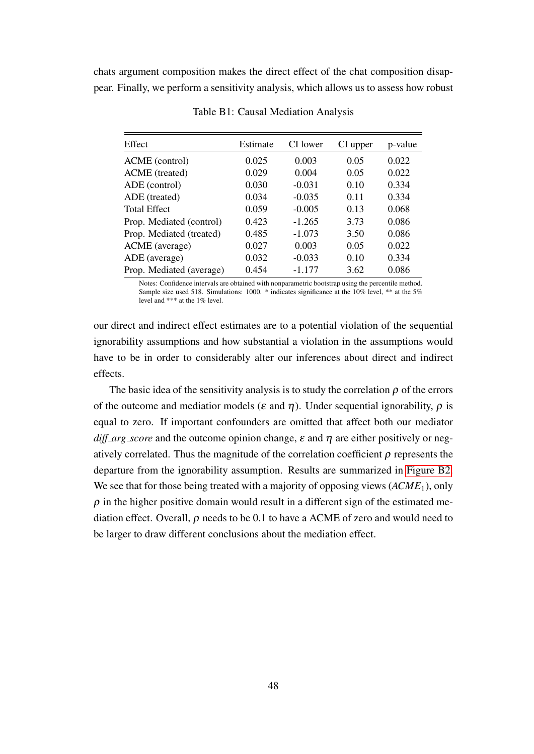<span id="page-48-0"></span>chats argument composition makes the direct effect of the chat composition disappear. Finally, we perform a sensitivity analysis, which allows us to assess how robust

| Effect                   | Estimate | CI lower | CI upper | p-value |
|--------------------------|----------|----------|----------|---------|
| ACME (control)           | 0.025    | 0.003    | 0.05     | 0.022   |
| ACME (treated)           | 0.029    | 0.004    | 0.05     | 0.022   |
| ADE (control)            | 0.030    | $-0.031$ | 0.10     | 0.334   |
| ADE (treated)            | 0.034    | $-0.035$ | 0.11     | 0.334   |
| <b>Total Effect</b>      | 0.059    | $-0.005$ | 0.13     | 0.068   |
| Prop. Mediated (control) | 0.423    | $-1.265$ | 3.73     | 0.086   |
| Prop. Mediated (treated) | 0.485    | $-1.073$ | 3.50     | 0.086   |
| ACME (average)           | 0.027    | 0.003    | 0.05     | 0.022   |
| ADE (average)            | 0.032    | $-0.033$ | 0.10     | 0.334   |
| Prop. Mediated (average) | 0.454    | $-1.177$ | 3.62     | 0.086   |

Table B1: Causal Mediation Analysis

Notes: Confidence intervals are obtained with nonparametric bootstrap using the percentile method. Sample size used 518. Simulations: 1000. \* indicates significance at the 10% level, \*\* at the 5% level and \*\*\* at the 1% level.

our direct and indirect effect estimates are to a potential violation of the sequential ignorability assumptions and how substantial a violation in the assumptions would have to be in order to considerably alter our inferences about direct and indirect effects.

The basic idea of the sensitivity analysis is to study the correlation  $\rho$  of the errors of the outcome and mediatior models ( $\varepsilon$  and  $\eta$ ). Under sequential ignorability,  $\rho$  is equal to zero. If important confounders are omitted that affect both our mediator *diff\_arg\_score* and the outcome opinion change,  $\varepsilon$  and  $\eta$  are either positively or negatively correlated. Thus the magnitude of the correlation coefficient  $\rho$  represents the departure from the ignorability assumption. Results are summarized in [Figure B2.](#page-49-0) We see that for those being treated with a majority of opposing views (*ACME*1), only  $\rho$  in the higher positive domain would result in a different sign of the estimated mediation effect. Overall,  $\rho$  needs to be 0.1 to have a ACME of zero and would need to be larger to draw different conclusions about the mediation effect.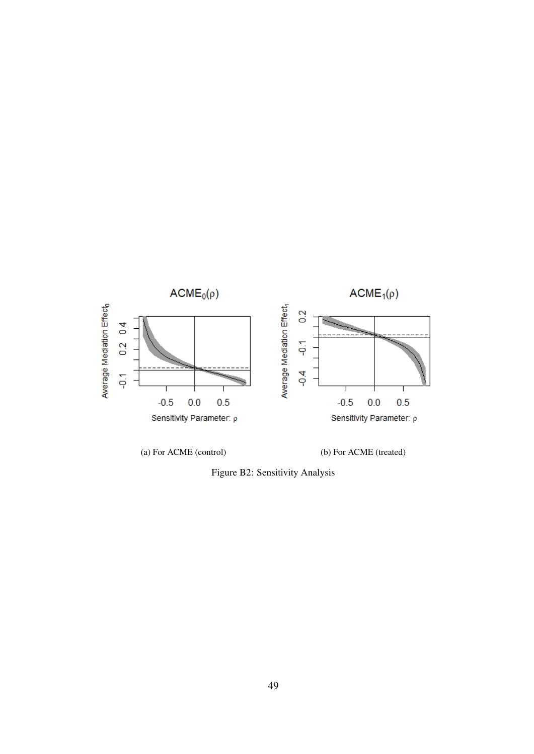<span id="page-49-0"></span>

Figure B2: Sensitivity Analysis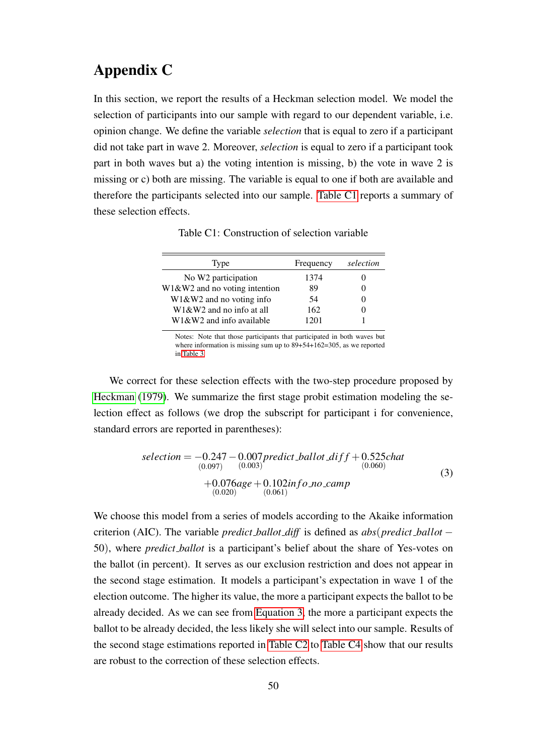# <span id="page-50-0"></span>Appendix C

In this section, we report the results of a Heckman selection model. We model the selection of participants into our sample with regard to our dependent variable, i.e. opinion change. We define the variable *selection* that is equal to zero if a participant did not take part in wave 2. Moreover, *selection* is equal to zero if a participant took part in both waves but a) the voting intention is missing, b) the vote in wave 2 is missing or c) both are missing. The variable is equal to one if both are available and therefore the participants selected into our sample. [Table C1](#page-50-1) reports a summary of these selection effects.

Table C1: Construction of selection variable

<span id="page-50-1"></span>

| Type                            | Frequency | selection |
|---------------------------------|-----------|-----------|
| No W <sub>2</sub> participation | 1374      |           |
| $W1&W2$ and no voting intention | 89        |           |
| $W1&W2$ and no voting info      | 54        |           |
| $W1&W2$ and no info at all      | 162       |           |
| W1&W2 and info available        | 1201      |           |

Notes: Note that those participants that participated in both waves but where information is missing sum up to 89+54+162=305, as we reported in [Table 3.](#page-7-0)

We correct for these selection effects with the two-step procedure proposed by [Heckman](#page-24-11) [\(1979\)](#page-24-11). We summarize the first stage probit estimation modeling the selection effect as follows (we drop the subscript for participant i for convenience, standard errors are reported in parentheses):

<span id="page-50-2"></span>
$$
selection = -0.247 - 0.007 \text{ predict\_ballot\_diff} + 0.525 \text{chat} \n(0.097) \quad (0.003) \n+0.076age + 0.102 \text{in} \text{fo\_no\_camp} \n(0.020) \quad (0.061)
$$
\n(3)

We choose this model from a series of models according to the Akaike information criterion (AIC). The variable *predict ballot diff* is defined as *abs*(*predict ballot* − 50), where *predict ballot* is a participant's belief about the share of Yes-votes on the ballot (in percent). It serves as our exclusion restriction and does not appear in the second stage estimation. It models a participant's expectation in wave 1 of the election outcome. The higher its value, the more a participant expects the ballot to be already decided. As we can see from [Equation 3,](#page-50-2) the more a participant expects the ballot to be already decided, the less likely she will select into our sample. Results of the second stage estimations reported in [Table C2](#page-51-0) to [Table C4](#page-52-0) show that our results are robust to the correction of these selection effects.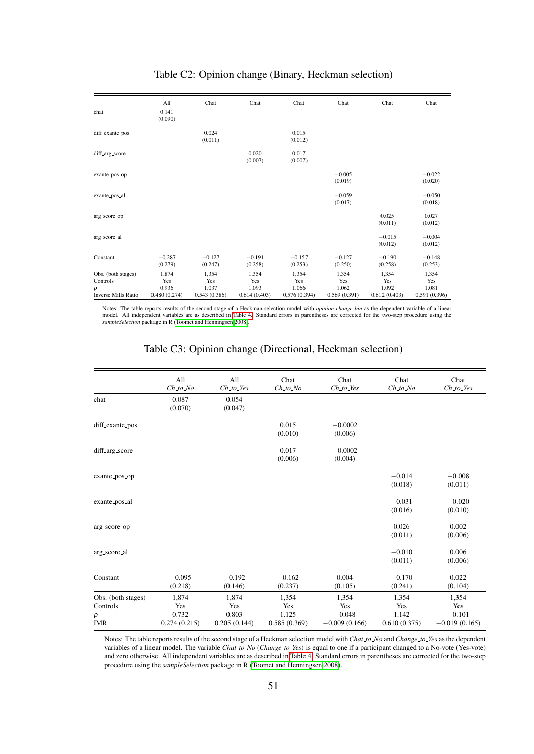<span id="page-51-0"></span>

|                            | All                 | Chat                | Chat                | Chat                | Chat                | Chat                | Chat                |
|----------------------------|---------------------|---------------------|---------------------|---------------------|---------------------|---------------------|---------------------|
| chat                       | 0.141<br>(0.090)    |                     |                     |                     |                     |                     |                     |
| diff_exante_pos            |                     | 0.024<br>(0.011)    |                     | 0.015<br>(0.012)    |                     |                     |                     |
| diff_arg_score             |                     |                     | 0.020<br>(0.007)    | 0.017<br>(0.007)    |                     |                     |                     |
| exante_pos_op              |                     |                     |                     |                     | $-0.005$<br>(0.019) |                     | $-0.022$<br>(0.020) |
| exante_pos_al              |                     |                     |                     |                     | $-0.059$<br>(0.017) |                     | $-0.050$<br>(0.018) |
| arg_score_op               |                     |                     |                     |                     |                     | 0.025<br>(0.011)    | 0.027<br>(0.012)    |
| arg_score_al               |                     |                     |                     |                     |                     | $-0.015$<br>(0.012) | $-0.004$<br>(0.012) |
| Constant                   | $-0.287$<br>(0.279) | $-0.127$<br>(0.247) | $-0.191$<br>(0.258) | $-0.157$<br>(0.253) | $-0.127$<br>(0.250) | $-0.190$<br>(0.258) | $-0.148$<br>(0.253) |
| Obs. (both stages)         | 1,874               | 1,354               | 1,354               | 1,354               | 1,354               | 1,354               | 1,354               |
| Controls                   | Yes                 | Yes                 | Yes                 | Yes                 | Yes                 | Yes                 | Yes                 |
| ρ                          | 0.936               | 1.037               | 1.093               | 1.066               | 1.062               | 1.092               | 1.081               |
| <b>Inverse Mills Ratio</b> | 0.480(0.274)        | 0.543(0.386)        | 0.614(0.403)        | 0.576(0.394)        | 0.569(0.391)        | 0.612(0.403)        | 0.591(0.396)        |

### Table C2: Opinion change (Binary, Heckman selection)

Notes: The table reports results of the second stage of a Heckman selection model with *opinion change bin* as the dependent variable of a linear model. All independent variables are as described in [Table 4.](#page-13-0) Standard errors in parentheses are corrected for the two-step procedure using the *sampleSelection* package in R [\(Toomet and Henningsen 2008\)](#page-26-6).

|                    | All<br>$Ch\_to\_No$ | All<br>$Ch\_to\_Yes$ | Chat<br>$Ch\_to$ No | Chat<br>$Ch_to_$     | Chat<br>$Ch\_to\_No$ | Chat<br>$Ch\_to\_Yes$ |
|--------------------|---------------------|----------------------|---------------------|----------------------|----------------------|-----------------------|
| chat               | 0.087<br>(0.070)    | 0.054<br>(0.047)     |                     |                      |                      |                       |
| diff_exante_pos    |                     |                      | 0.015<br>(0.010)    | $-0.0002$<br>(0.006) |                      |                       |
| diff_arg_score     |                     |                      | 0.017<br>(0.006)    | $-0.0002$<br>(0.004) |                      |                       |
| exante_pos_op      |                     |                      |                     |                      | $-0.014$<br>(0.018)  | $-0.008$<br>(0.011)   |
| exante_pos_al      |                     |                      |                     |                      | $-0.031$<br>(0.016)  | $-0.020$<br>(0.010)   |
| arg_score_op       |                     |                      |                     |                      | 0.026<br>(0.011)     | 0.002<br>(0.006)      |
| arg_score_al       |                     |                      |                     |                      | $-0.010$<br>(0.011)  | 0.006<br>(0.006)      |
| Constant           | $-0.095$<br>(0.218) | $-0.192$<br>(0.146)  | $-0.162$<br>(0.237) | 0.004<br>(0.105)     | $-0.170$<br>(0.241)  | 0.022<br>(0.104)      |
| Obs. (both stages) | 1,874               | 1,874                | 1,354               | 1,354                | 1,354                | 1,354                 |
| Controls           | Yes                 | Yes                  | Yes                 | Yes                  | Yes                  | Yes                   |
| $\rho$             | 0.732               | 0.803                | 1.125               | $-0.048$             | 1.142                | $-0.101$              |
| <b>IMR</b>         | 0.274(0.215)        | 0.205(0.144)         | 0.585(0.369)        | $-0.009(0.166)$      | 0.610(0.375)         | $-0.019(0.165)$       |

### Table C3: Opinion change (Directional, Heckman selection)

Notes: The table reports results of the second stage of a Heckman selection model with *Chat to No* and *Change to Yes* as the dependent variables of a linear model. The variable *Chat to No* (*Change to Yes*) is equal to one if a participant changed to a No-vote (Yes-vote) and zero otherwise. All independent variables are as described in [Table 4.](#page-13-0) Standard errors in parentheses are corrected for the two-step procedure using the *sampleSelection* package in R [\(Toomet and Henningsen 2008\)](#page-26-6).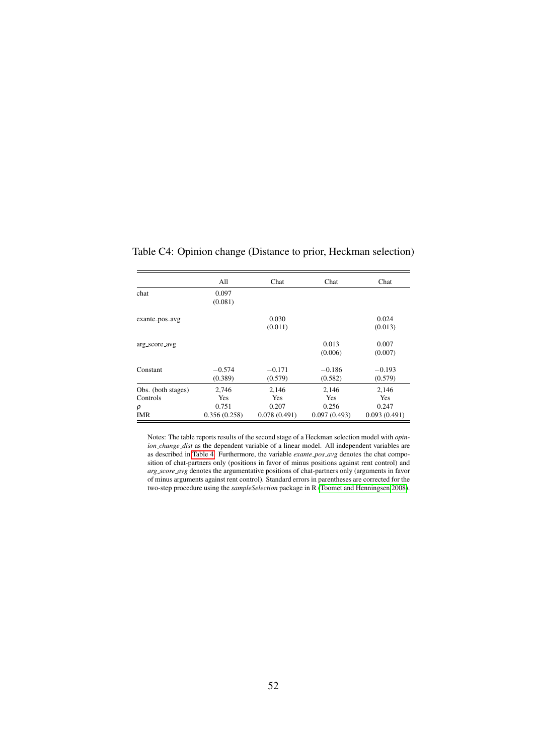|                                | All                   | Chat                  | Chat                  | Chat                  |
|--------------------------------|-----------------------|-----------------------|-----------------------|-----------------------|
| chat                           | 0.097<br>(0.081)      |                       |                       |                       |
| exante_pos_avg                 |                       | 0.030<br>(0.011)      |                       | 0.024<br>(0.013)      |
| arg_score_avg                  |                       |                       | 0.013<br>(0.006)      | 0.007<br>(0.007)      |
| Constant                       | $-0.574$<br>(0.389)   | $-0.171$<br>(0.579)   | $-0.186$<br>(0.582)   | $-0.193$<br>(0.579)   |
| Obs. (both stages)<br>Controls | 2,746<br>Yes          | 2,146<br>Yes          | 2,146<br>Yes          | 2,146<br>Yes          |
| ρ<br>IMR                       | 0.751<br>0.356(0.258) | 0.207<br>0.078(0.491) | 0.256<br>0.097(0.493) | 0.247<br>0.093(0.491) |

<span id="page-52-0"></span>Table C4: Opinion change (Distance to prior, Heckman selection)

Notes: The table reports results of the second stage of a Heckman selection model with *opinion\_change\_dist* as the dependent variable of a linear model. All independent variables are as described in [Table 4.](#page-13-0) Furthermore, the variable *exante pos avg* denotes the chat composition of chat-partners only (positions in favor of minus positions against rent control) and *arg score avg* denotes the argumentative positions of chat-partners only (arguments in favor of minus arguments against rent control). Standard errors in parentheses are corrected for the two-step procedure using the *sampleSelection* package in R [\(Toomet and Henningsen 2008\)](#page-26-6).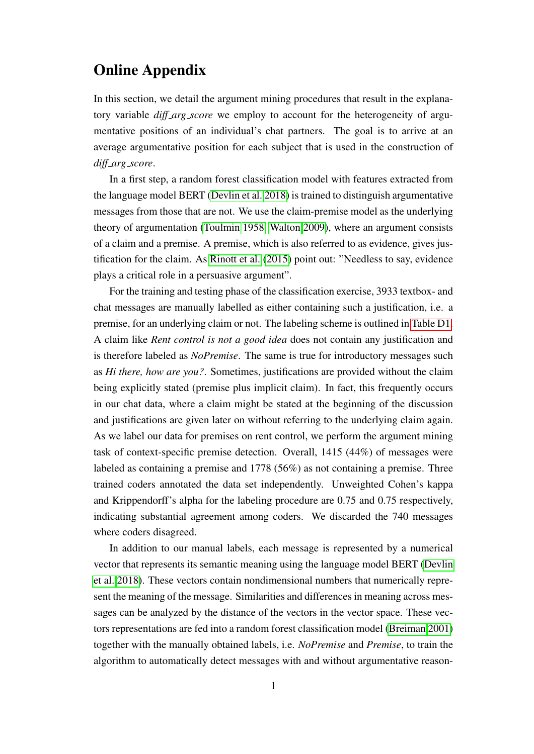# Online Appendix

In this section, we detail the argument mining procedures that result in the explanatory variable *diff\_arg\_score* we employ to account for the heterogeneity of argumentative positions of an individual's chat partners. The goal is to arrive at an average argumentative position for each subject that is used in the construction of *diff arg score*.

In a first step, a random forest classification model with features extracted from the language model BERT [\(Devlin et al. 2018\)](#page-24-12) is trained to distinguish argumentative messages from those that are not. We use the claim-premise model as the underlying theory of argumentation [\(Toulmin 1958,](#page-26-2) [Walton 2009\)](#page-26-3), where an argument consists of a claim and a premise. A premise, which is also referred to as evidence, gives justification for the claim. As [Rinott et al.](#page-26-7) [\(2015\)](#page-26-7) point out: "Needless to say, evidence plays a critical role in a persuasive argument".

For the training and testing phase of the classification exercise, 3933 textbox- and chat messages are manually labelled as either containing such a justification, i.e. a premise, for an underlying claim or not. The labeling scheme is outlined in [Table D1.](#page-54-0) A claim like *Rent control is not a good idea* does not contain any justification and is therefore labeled as *NoPremise*. The same is true for introductory messages such as *Hi there, how are you?*. Sometimes, justifications are provided without the claim being explicitly stated (premise plus implicit claim). In fact, this frequently occurs in our chat data, where a claim might be stated at the beginning of the discussion and justifications are given later on without referring to the underlying claim again. As we label our data for premises on rent control, we perform the argument mining task of context-specific premise detection. Overall, 1415 (44%) of messages were labeled as containing a premise and 1778 (56%) as not containing a premise. Three trained coders annotated the data set independently. Unweighted Cohen's kappa and Krippendorff's alpha for the labeling procedure are 0.75 and 0.75 respectively, indicating substantial agreement among coders. We discarded the 740 messages where coders disagreed.

In addition to our manual labels, each message is represented by a numerical vector that represents its semantic meaning using the language model BERT [\(Devlin](#page-24-12) [et al. 2018\)](#page-24-12). These vectors contain nondimensional numbers that numerically represent the meaning of the message. Similarities and differences in meaning across messages can be analyzed by the distance of the vectors in the vector space. These vectors representations are fed into a random forest classification model [\(Breiman 2001\)](#page-23-11) together with the manually obtained labels, i.e. *NoPremise* and *Premise*, to train the algorithm to automatically detect messages with and without argumentative reason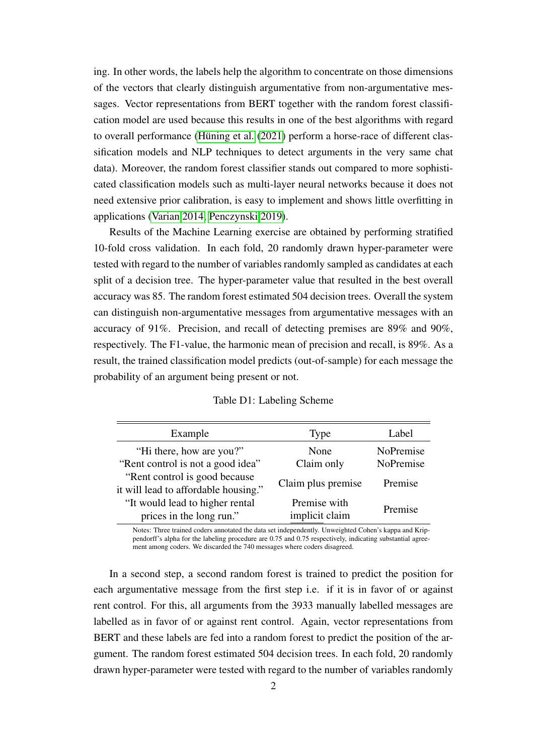ing. In other words, the labels help the algorithm to concentrate on those dimensions of the vectors that clearly distinguish argumentative from non-argumentative messages. Vector representations from BERT together with the random forest classification model are used because this results in one of the best algorithms with regard to overall performance (Hüning et al.  $(2021)$  perform a horse-race of different classification models and NLP techniques to detect arguments in the very same chat data). Moreover, the random forest classifier stands out compared to more sophisticated classification models such as multi-layer neural networks because it does not need extensive prior calibration, is easy to implement and shows little overfitting in applications [\(Varian 2014,](#page-26-8) [Penczynski 2019\)](#page-25-13).

Results of the Machine Learning exercise are obtained by performing stratified 10-fold cross validation. In each fold, 20 randomly drawn hyper-parameter were tested with regard to the number of variables randomly sampled as candidates at each split of a decision tree. The hyper-parameter value that resulted in the best overall accuracy was 85. The random forest estimated 504 decision trees. Overall the system can distinguish non-argumentative messages from argumentative messages with an accuracy of 91%. Precision, and recall of detecting premises are 89% and 90%, respectively. The F1-value, the harmonic mean of precision and recall, is 89%. As a result, the trained classification model predicts (out-of-sample) for each message the probability of an argument being present or not.

<span id="page-54-0"></span>

| Example                                                                | Type                           | Label     |
|------------------------------------------------------------------------|--------------------------------|-----------|
| "Hi there, how are you?"                                               | None                           | NoPremise |
| "Rent control is not a good idea"                                      | Claim only                     | NoPremise |
| "Rent control is good because"<br>it will lead to affordable housing." | Claim plus premise             | Premise   |
| "It would lead to higher rental<br>prices in the long run."            | Premise with<br>implicit claim | Premise   |

Notes: Three trained coders annotated the data set independently. Unweighted Cohen's kappa and Krippendorff's alpha for the labeling procedure are 0.75 and 0.75 respectively, indicating substantial agreement among coders. We discarded the 740 messages where coders disagreed.

In a second step, a second random forest is trained to predict the position for each argumentative message from the first step i.e. if it is in favor of or against rent control. For this, all arguments from the 3933 manually labelled messages are labelled as in favor of or against rent control. Again, vector representations from BERT and these labels are fed into a random forest to predict the position of the argument. The random forest estimated 504 decision trees. In each fold, 20 randomly drawn hyper-parameter were tested with regard to the number of variables randomly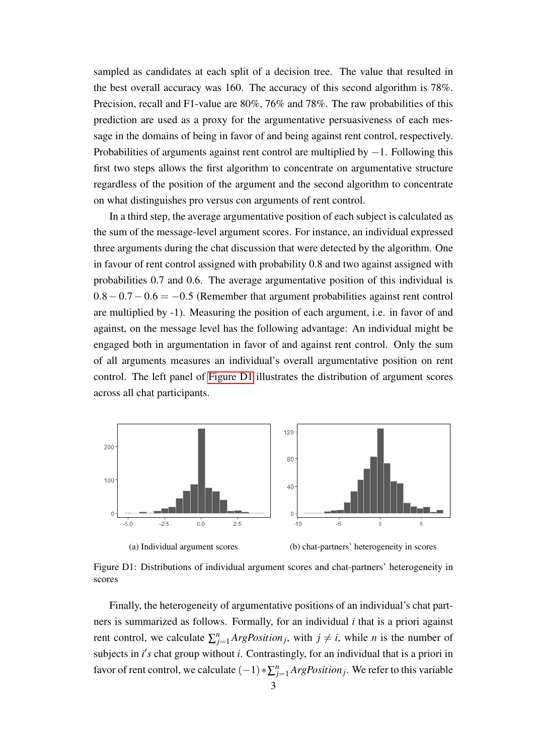sampled as candidates at each split of a decision tree. The value that resulted in the best overall accuracy was 160. The accuracy of this second algorithm is 78%. Precision, recall and F1-value are 80%, 76% and 78%. The raw probabilities of this prediction are used as a proxy for the argumentative persuasiveness of each message in the domains of being in favor of and being against rent control, respectively. Probabilities of arguments against rent control are multiplied by −1. Following this first two steps allows the first algorithm to concentrate on argumentative structure regardless of the position of the argument and the second algorithm to concentrate on what distinguishes pro versus con arguments of rent control.

In a third step, the average argumentative position of each subject is calculated as the sum of the message-level argument scores. For instance, an individual expressed three arguments during the chat discussion that were detected by the algorithm. One in favour of rent control assigned with probability 0.8 and two against assigned with probabilities 0.7 and 0.6. The average argumentative position of this individual is  $0.8 - 0.7 - 0.6 = -0.5$  (Remember that argument probabilities against rent control are multiplied by -1). Measuring the position of each argument, i.e. in favor of and against, on the message level has the following advantage: An individual might be engaged both in argumentation in favor of and against rent control. Only the sum of all arguments measures an individual's overall argumentative position on rent control. The left panel of [Figure D1](#page-55-0) illustrates the distribution of argument scores across all chat participants.

<span id="page-55-0"></span>

Figure D1: Distributions of individual argument scores and chat-partners' heterogeneity in scores

Finally, the heterogeneity of argumentative positions of an individual's chat partners is summarized as follows. Formally, for an individual *i* that is a priori against rent control, we calculate  $\sum_{j=1}^{n} ArgPosition_j$ , with  $j \neq i$ , while *n* is the number of subjects in *i*'s chat group without *i*. Contrastingly, for an individual that is a priori in favor of rent control, we calculate  $(-1)*\sum_{j=1}^{n}ArgPosition_j$ . We refer to this variable